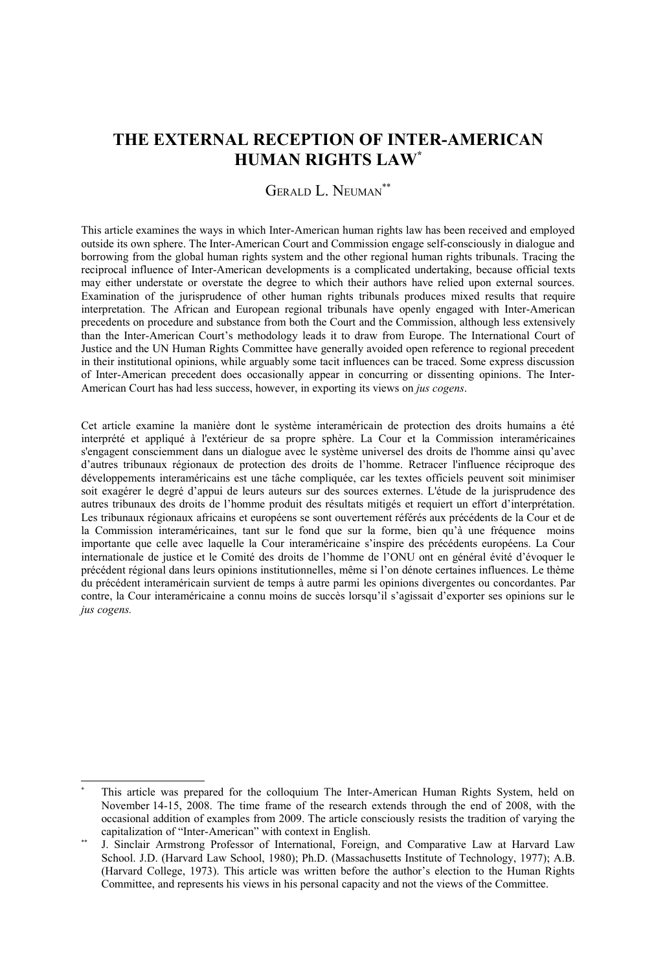# **THE EXTERNAL RECEPTION OF INTER-AMERICAN HUMAN RIGHTS LAW[\\*](#page-0-0)**

## GERALD L. NEUMAN[\\*\\*](#page-0-1)

This article examines the ways in which Inter-American human rights law has been received and employed outside its own sphere. The Inter-American Court and Commission engage self-consciously in dialogue and borrowing from the global human rights system and the other regional human rights tribunals. Tracing the reciprocal influence of Inter-American developments is a complicated undertaking, because official texts may either understate or overstate the degree to which their authors have relied upon external sources. Examination of the jurisprudence of other human rights tribunals produces mixed results that require interpretation. The African and European regional tribunals have openly engaged with Inter-American precedents on procedure and substance from both the Court and the Commission, although less extensively than the Inter-American Court's methodology leads it to draw from Europe. The International Court of Justice and the UN Human Rights Committee have generally avoided open reference to regional precedent in their institutional opinions, while arguably some tacit influences can be traced. Some express discussion of Inter-American precedent does occasionally appear in concurring or dissenting opinions. The Inter-American Court has had less success, however, in exporting its views on *jus cogens*.

Cet article examine la manière dont le système interaméricain de protection des droits humains a été interprété et appliqué à l'extérieur de sa propre sphère. La Cour et la Commission interaméricaines s'engagent consciemment dans un dialogue avec le système universel des droits de l'homme ainsi qu'avec d'autres tribunaux régionaux de protection des droits de l'homme. Retracer l'influence réciproque des développements interaméricains est une tâche compliquée, car les textes officiels peuvent soit minimiser soit exagérer le degré d'appui de leurs auteurs sur des sources externes. L'étude de la jurisprudence des autres tribunaux des droits de l'homme produit des résultats mitigés et requiert un effort d'interprétation. Les tribunaux régionaux africains et européens se sont ouvertement référés aux précédents de la Cour et de la Commission interaméricaines, tant sur le fond que sur la forme, bien qu'à une fréquence moins importante que celle avec laquelle la Cour interaméricaine s'inspire des précédents européens. La Cour internationale de justice et le Comité des droits de l'homme de l'ONU ont en général évité d'évoquer le précédent régional dans leurs opinions institutionnelles, même si l'on dénote certaines influences. Le thème du précédent interaméricain survient de temps à autre parmi les opinions divergentes ou concordantes. Par contre, la Cour interaméricaine a connu moins de succès lorsqu'il s'agissait d'exporter ses opinions sur le *jus cogens.*

<span id="page-0-0"></span>This article was prepared for the colloquium The Inter-American Human Rights System, held on November 14-15, 2008. The time frame of the research extends through the end of 2008, with the occasional addition of examples from 2009. The article consciously resists the tradition of varying the capitalization of "Inter-American" with context in English.

<span id="page-0-1"></span>J. Sinclair Armstrong Professor of International, Foreign, and Comparative Law at Harvard Law School. J.D. (Harvard Law School, 1980); Ph.D. (Massachusetts Institute of Technology, 1977); A.B. (Harvard College, 1973). This article was written before the author's election to the Human Rights Committee, and represents his views in his personal capacity and not the views of the Committee.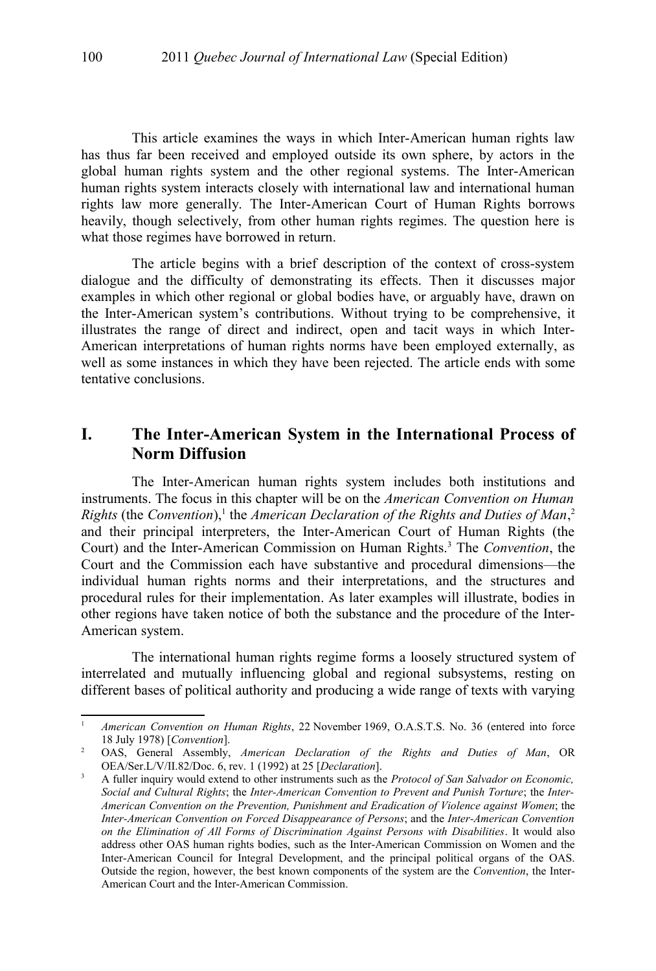This article examines the ways in which Inter-American human rights law has thus far been received and employed outside its own sphere, by actors in the global human rights system and the other regional systems. The Inter-American human rights system interacts closely with international law and international human rights law more generally. The Inter-American Court of Human Rights borrows heavily, though selectively, from other human rights regimes. The question here is what those regimes have borrowed in return.

The article begins with a brief description of the context of cross-system dialogue and the difficulty of demonstrating its effects. Then it discusses major examples in which other regional or global bodies have, or arguably have, drawn on the Inter-American system's contributions. Without trying to be comprehensive, it illustrates the range of direct and indirect, open and tacit ways in which Inter-American interpretations of human rights norms have been employed externally, as well as some instances in which they have been rejected. The article ends with some tentative conclusions.

# **I. The Inter-American System in the International Process of Norm Diffusion**

The Inter-American human rights system includes both institutions and instruments. The focus in this chapter will be on the *American Convention on Human*  $Right$ s (the *Convention*),<sup>[1](#page-1-0)</sup> the *American Declaration of the Rights and Duties of Man*,<sup>[2](#page-1-1)</sup> and their principal interpreters, the Inter-American Court of Human Rights (the Court) and the Inter-American Commission on Human Rights.<sup>[3](#page-1-2)</sup> The *Convention*, the Court and the Commission each have substantive and procedural dimensions—the individual human rights norms and their interpretations, and the structures and procedural rules for their implementation. As later examples will illustrate, bodies in other regions have taken notice of both the substance and the procedure of the Inter-American system.

The international human rights regime forms a loosely structured system of interrelated and mutually influencing global and regional subsystems, resting on different bases of political authority and producing a wide range of texts with varying

<span id="page-1-0"></span><sup>1</sup> *American Convention on Human Rights*, 22 November 1969, O.A.S.T.S. No. 36 (entered into force 18 July 1978) [*Convention*].

<span id="page-1-1"></span><sup>2</sup> OAS, General Assembly, *American Declaration of the Rights and Duties of Man*, OR OEA/Ser.L/V/II.82/Doc. 6, rev. 1 (1992) at 25 [*Declaration*].

<span id="page-1-2"></span><sup>3</sup> A fuller inquiry would extend to other instruments such as the *Protocol of San Salvador on Economic, Social and Cultural Rights*; the *Inter-American Convention to Prevent and Punish Torture*; the *Inter-American Convention on the Prevention, Punishment and Eradication of Violence against Women*; the *Inter-American Convention on Forced Disappearance of Persons*; and the *Inter-American Convention on the Elimination of All Forms of Discrimination Against Persons with Disabilities*. It would also address other OAS human rights bodies, such as the Inter-American Commission on Women and the Inter-American Council for Integral Development, and the principal political organs of the OAS. Outside the region, however, the best known components of the system are the *Convention*, the Inter-American Court and the Inter-American Commission.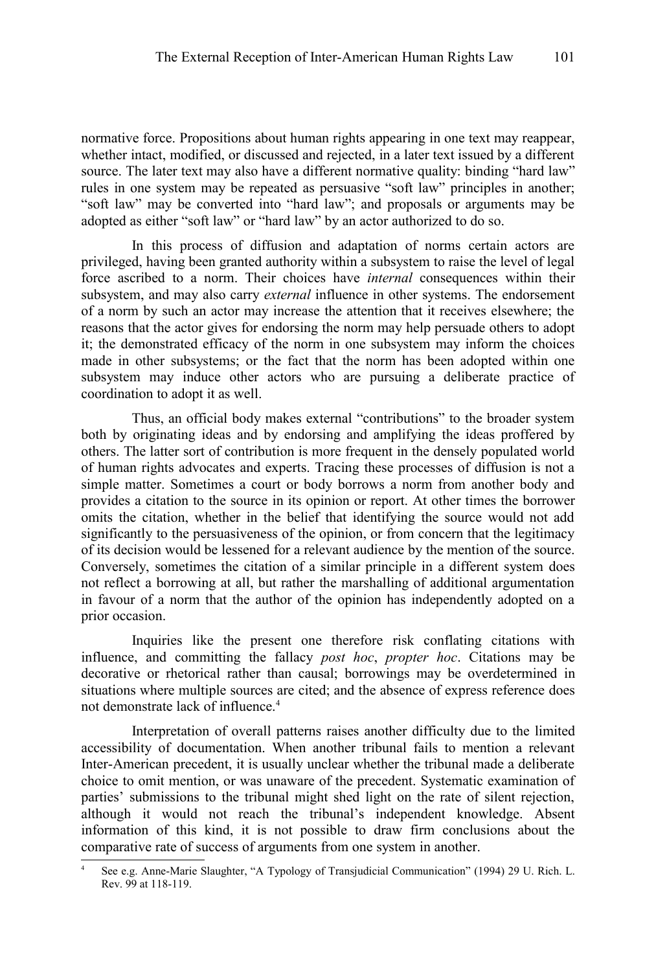normative force. Propositions about human rights appearing in one text may reappear, whether intact, modified, or discussed and rejected, in a later text issued by a different source. The later text may also have a different normative quality: binding "hard law" rules in one system may be repeated as persuasive "soft law" principles in another; "soft law" may be converted into "hard law"; and proposals or arguments may be adopted as either "soft law" or "hard law" by an actor authorized to do so.

In this process of diffusion and adaptation of norms certain actors are privileged, having been granted authority within a subsystem to raise the level of legal force ascribed to a norm. Their choices have *internal* consequences within their subsystem, and may also carry *external* influence in other systems. The endorsement of a norm by such an actor may increase the attention that it receives elsewhere; the reasons that the actor gives for endorsing the norm may help persuade others to adopt it; the demonstrated efficacy of the norm in one subsystem may inform the choices made in other subsystems; or the fact that the norm has been adopted within one subsystem may induce other actors who are pursuing a deliberate practice of coordination to adopt it as well.

Thus, an official body makes external "contributions" to the broader system both by originating ideas and by endorsing and amplifying the ideas proffered by others. The latter sort of contribution is more frequent in the densely populated world of human rights advocates and experts. Tracing these processes of diffusion is not a simple matter. Sometimes a court or body borrows a norm from another body and provides a citation to the source in its opinion or report. At other times the borrower omits the citation, whether in the belief that identifying the source would not add significantly to the persuasiveness of the opinion, or from concern that the legitimacy of its decision would be lessened for a relevant audience by the mention of the source. Conversely, sometimes the citation of a similar principle in a different system does not reflect a borrowing at all, but rather the marshalling of additional argumentation in favour of a norm that the author of the opinion has independently adopted on a prior occasion.

Inquiries like the present one therefore risk conflating citations with influence, and committing the fallacy *post hoc*, *propter hoc*. Citations may be decorative or rhetorical rather than causal; borrowings may be overdetermined in situations where multiple sources are cited; and the absence of express reference does not demonstrate lack of influence.<sup>[4](#page-2-0)</sup>

Interpretation of overall patterns raises another difficulty due to the limited accessibility of documentation. When another tribunal fails to mention a relevant Inter-American precedent, it is usually unclear whether the tribunal made a deliberate choice to omit mention, or was unaware of the precedent. Systematic examination of parties' submissions to the tribunal might shed light on the rate of silent rejection, although it would not reach the tribunal's independent knowledge. Absent information of this kind, it is not possible to draw firm conclusions about the comparative rate of success of arguments from one system in another.

<span id="page-2-0"></span>See e.g. Anne-Marie Slaughter, "A Typology of Transjudicial Communication" (1994) 29 U. Rich. L. Rev. 99 at 118-119.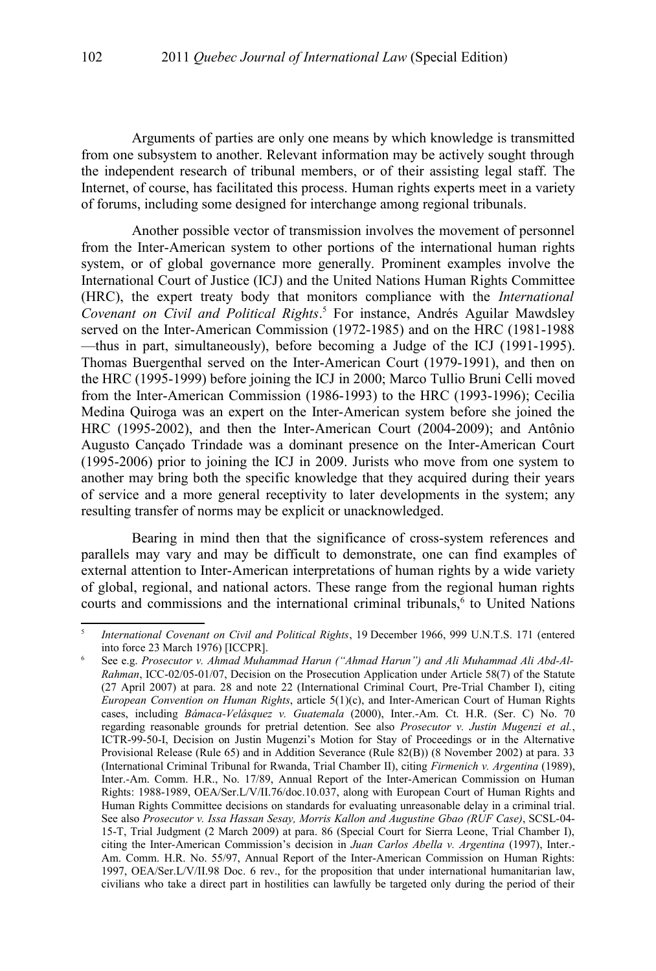Arguments of parties are only one means by which knowledge is transmitted from one subsystem to another. Relevant information may be actively sought through the independent research of tribunal members, or of their assisting legal staff. The Internet, of course, has facilitated this process. Human rights experts meet in a variety of forums, including some designed for interchange among regional tribunals.

Another possible vector of transmission involves the movement of personnel from the Inter-American system to other portions of the international human rights system, or of global governance more generally. Prominent examples involve the International Court of Justice (ICJ) and the United Nations Human Rights Committee (HRC), the expert treaty body that monitors compliance with the *International Covenant on Civil and Political Rights*. [5](#page-3-0) For instance, Andrés Aguilar Mawdsley served on the Inter-American Commission (1972-1985) and on the HRC (1981-1988 —thus in part, simultaneously), before becoming a Judge of the ICJ (1991-1995). Thomas Buergenthal served on the Inter-American Court (1979-1991), and then on the HRC (1995-1999) before joining the ICJ in 2000; Marco Tullio Bruni Celli moved from the Inter-American Commission (1986-1993) to the HRC (1993-1996); Cecilia Medina Quiroga was an expert on the Inter-American system before she joined the HRC (1995-2002), and then the Inter-American Court (2004-2009); and Antônio Augusto Cançado Trindade was a dominant presence on the Inter-American Court (1995-2006) prior to joining the ICJ in 2009. Jurists who move from one system to another may bring both the specific knowledge that they acquired during their years of service and a more general receptivity to later developments in the system; any resulting transfer of norms may be explicit or unacknowledged.

Bearing in mind then that the significance of cross-system references and parallels may vary and may be difficult to demonstrate, one can find examples of external attention to Inter-American interpretations of human rights by a wide variety of global, regional, and national actors. These range from the regional human rights courts and commissions and the international criminal tribunals,<sup>[6](#page-3-1)</sup> to United Nations

<span id="page-3-0"></span><sup>5</sup> *International Covenant on Civil and Political Rights*, 19 December 1966, 999 U.N.T.S. 171 (entered into force 23 March 1976) [ICCPR].

<span id="page-3-1"></span><sup>6</sup> See e.g. *Prosecutor v. Ahmad Muhammad Harun ("Ahmad Harun") and Ali Muhammad Ali Abd-Al-Rahman*, ICC-02/05-01/07, Decision on the Prosecution Application under Article 58(7) of the Statute (27 April 2007) at para. 28 and note 22 (International Criminal Court, Pre-Trial Chamber I), citing *European Convention on Human Rights*, article 5(1)(c), and Inter-American Court of Human Rights cases, including *Bámaca-Velásquez v. Guatemala* (2000), Inter.-Am. Ct. H.R. (Ser. C) No. 70 regarding reasonable grounds for pretrial detention. See also *Prosecutor v. Justin Mugenzi et al.*, ICTR-99-50-I, Decision on Justin Mugenzi's Motion for Stay of Proceedings or in the Alternative Provisional Release (Rule 65) and in Addition Severance (Rule 82(B)) (8 November 2002) at para. 33 (International Criminal Tribunal for Rwanda, Trial Chamber II), citing *Firmenich v. Argentina* (1989), Inter.-Am. Comm. H.R., No. 17/89, Annual Report of the Inter-American Commission on Human Rights: 1988-1989, OEA/Ser.L/V/II.76/doc.10.037, along with European Court of Human Rights and Human Rights Committee decisions on standards for evaluating unreasonable delay in a criminal trial. See also *Prosecutor v. Issa Hassan Sesay, Morris Kallon and Augustine Gbao (RUF Case)*, SCSL-04- 15-T, Trial Judgment (2 March 2009) at para. 86 (Special Court for Sierra Leone, Trial Chamber I), citing the Inter-American Commission's decision in *Juan Carlos Abella v. Argentina* (1997), Inter.- Am. Comm. H.R. No. 55/97, Annual Report of the Inter-American Commission on Human Rights: 1997, OEA/Ser.L/V/II.98 Doc. 6 rev., for the proposition that under international humanitarian law, civilians who take a direct part in hostilities can lawfully be targeted only during the period of their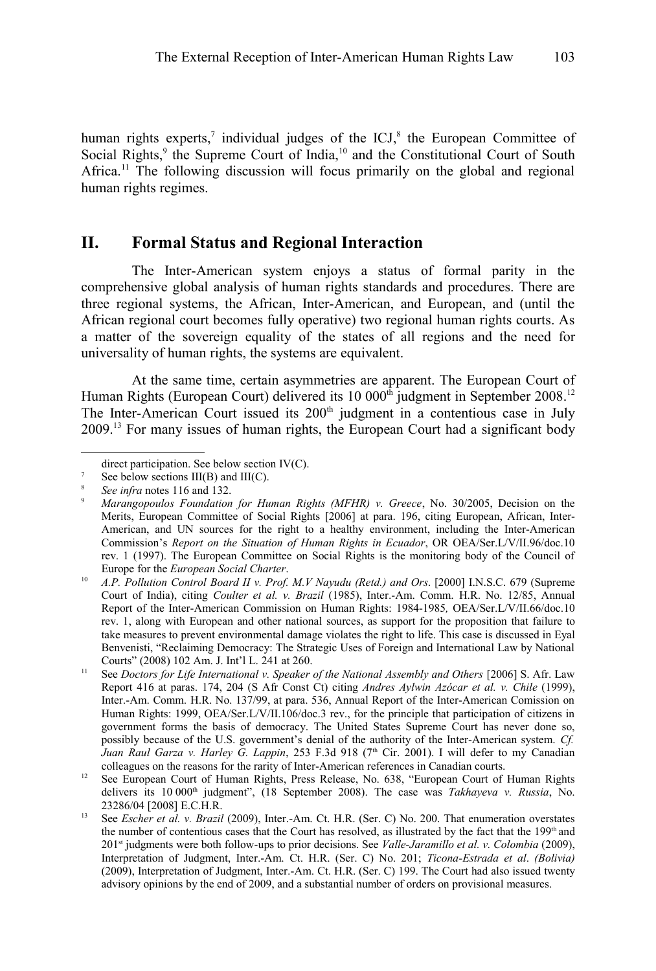human rights experts,<sup>[7](#page-4-0)</sup> individual judges of the ICJ, $^8$  $^8$  the European Committee of Social Rights,<sup>[9](#page-4-2)</sup> the Supreme Court of India,<sup>[10](#page-4-3)</sup> and the Constitutional Court of South Africa.<sup>[11](#page-4-4)</sup> The following discussion will focus primarily on the global and regional human rights regimes.

## **II. Formal Status and Regional Interaction**

The Inter-American system enjoys a status of formal parity in the comprehensive global analysis of human rights standards and procedures. There are three regional systems, the African, Inter-American, and European, and (until the African regional court becomes fully operative) two regional human rights courts. As a matter of the sovereign equality of the states of all regions and the need for universality of human rights, the systems are equivalent.

At the same time, certain asymmetries are apparent. The European Court of Human Rights (European Court) delivered its 10 000<sup>th</sup> judgment in September 2008.<sup>[12](#page-4-5)</sup> The Inter-American Court issued its 200<sup>th</sup> judgment in a contentious case in July 2009.[13](#page-4-6) For many issues of human rights, the European Court had a significant body

<span id="page-4-0"></span>direct participation. See below section IV(C).

 $7$  See below sections III(B) and III(C).

<span id="page-4-1"></span><sup>8</sup> *See infra* notes [116](#page-23-0) and [132.](#page-25-0)

<span id="page-4-2"></span><sup>9</sup> *Marangopoulos Foundation for Human Rights (MFHR) v. Greece*, No. 30/2005, Decision on the Merits, European Committee of Social Rights [2006] at para. 196, citing European, African, Inter-American, and UN sources for the right to a healthy environment, including the Inter-American Commission's *Report on the Situation of Human Rights in Ecuador*, OR OEA/Ser.L/V/II.96/doc.10 rev. 1 (1997). The European Committee on Social Rights is the monitoring body of the Council of Europe for the *European Social Charter*.

<span id="page-4-3"></span><sup>10</sup> *A.P. Pollution Control Board II v. Prof. M.V Nayudu (Retd.) and Ors*. [2000] I.N.S.C. 679 (Supreme Court of India), citing *Coulter et al. v. Brazil* (1985), Inter.-Am. Comm. H.R. No. 12/85, Annual Report of the Inter-American Commission on Human Rights: 1984-1985*,* OEA/Ser.L/V/II.66/doc.10 rev. 1, along with European and other national sources, as support for the proposition that failure to take measures to prevent environmental damage violates the right to life. This case is discussed in Eyal Benvenisti, "Reclaiming Democracy: The Strategic Uses of Foreign and International Law by National Courts" (2008) 102 Am. J. Int'l L. 241 at 260.

<span id="page-4-4"></span><sup>&</sup>lt;sup>11</sup> See *Doctors for Life International v. Speaker of the National Assembly and Others* [2006] S. Afr. Law Report 416 at paras. 174, 204 (S Afr Const Ct) citing *Andres Aylwin Azócar et al. v. Chile* (1999), Inter.-Am. Comm. H.R. No. 137/99, at para. 536, Annual Report of the Inter-American Comission on Human Rights: 1999, OEA/Ser.L/V/II.106/doc.3 rev., for the principle that participation of citizens in government forms the basis of democracy. The United States Supreme Court has never done so, possibly because of the U.S. government's denial of the authority of the Inter-American system. *Cf. Juan Raul Garza v. Harley G. Lappin*, 253 F.3d 918 (7<sup>th</sup> Cir. 2001). I will defer to my Canadian colleagues on the reasons for the rarity of Inter-American references in Canadian courts.

<span id="page-4-5"></span><sup>&</sup>lt;sup>12</sup> See European Court of Human Rights, Press Release, No. 638, "European Court of Human Rights delivers its 10 000<sup>th</sup> judgment", (18 September 2008). The case was *Takhayeva v. Russia*, No. 23286/04 [2008] E.C.H.R.

<span id="page-4-6"></span><sup>13</sup> See *Escher et al. v. Brazil* (2009), Inter.-Am. Ct. H.R. (Ser. C) No. 200. That enumeration overstates the number of contentious cases that the Court has resolved, as illustrated by the fact that the 199<sup>th</sup> and 201st judgments were both follow-ups to prior decisions. See *Valle-Jaramillo et al. v. Colombia* (2009), Interpretation of Judgment, Inter.-Am. Ct. H.R. (Ser. C) No. 201; *Ticona-Estrada et al*. *(Bolivia)* (2009), Interpretation of Judgment, Inter.-Am. Ct. H.R. (Ser. C) 199. The Court had also issued twenty advisory opinions by the end of 2009, and a substantial number of orders on provisional measures.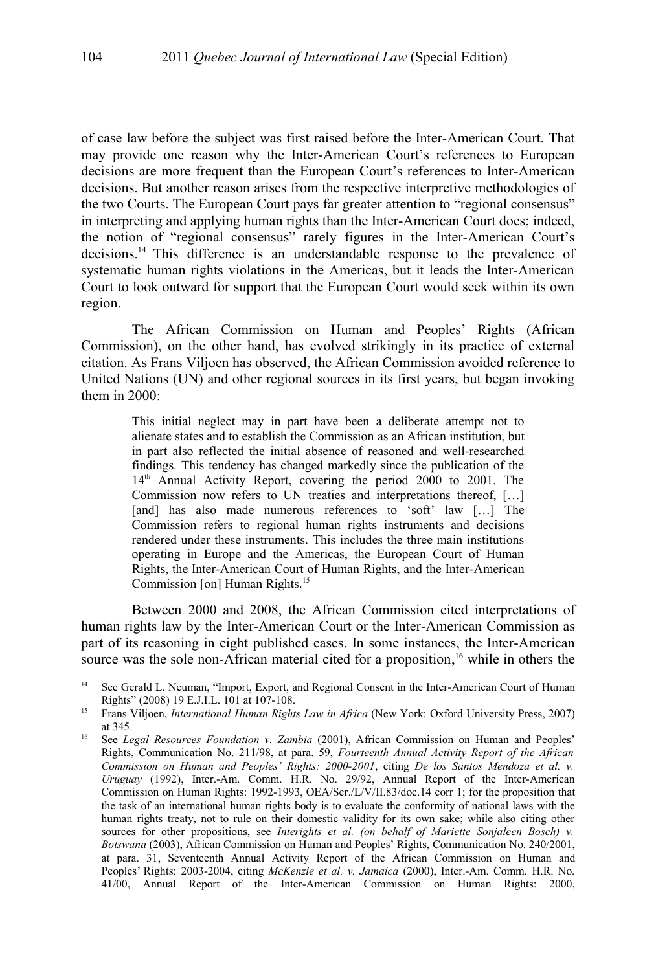of case law before the subject was first raised before the Inter-American Court. That may provide one reason why the Inter-American Court's references to European decisions are more frequent than the European Court's references to Inter-American decisions. But another reason arises from the respective interpretive methodologies of the two Courts. The European Court pays far greater attention to "regional consensus" in interpreting and applying human rights than the Inter-American Court does; indeed, the notion of "regional consensus" rarely figures in the Inter-American Court's decisions. [14](#page-5-0) This difference is an understandable response to the prevalence of systematic human rights violations in the Americas, but it leads the Inter-American Court to look outward for support that the European Court would seek within its own region.

The African Commission on Human and Peoples' Rights (African Commission), on the other hand, has evolved strikingly in its practice of external citation. As Frans Viljoen has observed, the African Commission avoided reference to United Nations (UN) and other regional sources in its first years, but began invoking them in 2000:

> This initial neglect may in part have been a deliberate attempt not to alienate states and to establish the Commission as an African institution, but in part also reflected the initial absence of reasoned and well-researched findings. This tendency has changed markedly since the publication of the 14<sup>th</sup> Annual Activity Report, covering the period 2000 to 2001. The Commission now refers to UN treaties and interpretations thereof, […] [and] has also made numerous references to 'soft' law [...] The Commission refers to regional human rights instruments and decisions rendered under these instruments. This includes the three main institutions operating in Europe and the Americas, the European Court of Human Rights, the Inter-American Court of Human Rights, and the Inter-American Commission [on] Human Rights.[15](#page-5-1)

Between 2000 and 2008, the African Commission cited interpretations of human rights law by the Inter-American Court or the Inter-American Commission as part of its reasoning in eight published cases. In some instances, the Inter-American source was the sole non-African material cited for a proposition,<sup>[16](#page-5-2)</sup> while in others the

<span id="page-5-0"></span><sup>&</sup>lt;sup>14</sup> See Gerald L. Neuman, "Import, Export, and Regional Consent in the Inter-American Court of Human Rights" (2008) 19 E.J.I.L. 101 at 107-108.

<span id="page-5-1"></span><sup>15</sup> Frans Viljoen, *International Human Rights Law in Africa* (New York: Oxford University Press, 2007) at 345.

<span id="page-5-2"></span><sup>&</sup>lt;sup>16</sup> See *Legal Resources Foundation v. Zambia* (2001), African Commission on Human and Peoples' Rights, Communication No. 211/98, at para. 59, *Fourteenth Annual Activity Report of the African Commission on Human and Peoples' Rights: 2000-2001*, citing *De los Santos Mendoza et al. v. Uruguay* (1992), Inter.-Am. Comm. H.R. No. 29/92, Annual Report of the Inter-American Commission on Human Rights: 1992-1993, OEA/Ser./L/V/II.83/doc.14 corr 1; for the proposition that the task of an international human rights body is to evaluate the conformity of national laws with the human rights treaty, not to rule on their domestic validity for its own sake; while also citing other sources for other propositions, see *Interights et al. (on behalf of Mariette Sonjaleen Bosch) v. Botswana* (2003), African Commission on Human and Peoples' Rights, Communication No. 240/2001, at para. 31, Seventeenth Annual Activity Report of the African Commission on Human and Peoples' Rights: 2003-2004, citing *McKenzie et al. v. Jamaica* (2000), Inter.-Am. Comm. H.R. No. 41/00, Annual Report of the Inter-American Commission on Human Rights: 2000,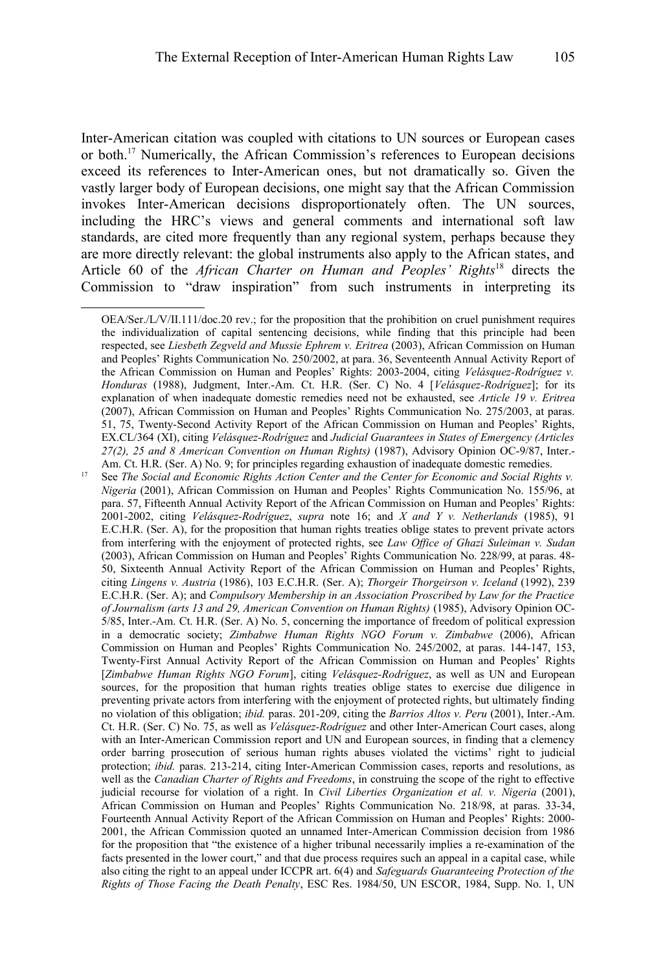Inter-American citation was coupled with citations to UN sources or European cases or both.<sup>[17](#page-6-0)</sup> Numerically, the African Commission's references to European decisions exceed its references to Inter-American ones, but not dramatically so. Given the vastly larger body of European decisions, one might say that the African Commission invokes Inter-American decisions disproportionately often. The UN sources, including the HRC's views and general comments and international soft law standards, are cited more frequently than any regional system, perhaps because they are more directly relevant: the global instruments also apply to the African states, and Article 60 of the *African Charter on Human and Peoples' Rights*[18](#page-7-0) directs the Commission to "draw inspiration" from such instruments in interpreting its

OEA/Ser./L/V/II.111/doc.20 rev.; for the proposition that the prohibition on cruel punishment requires the individualization of capital sentencing decisions, while finding that this principle had been respected, see *Liesbeth Zegveld and Mussie Ephrem v. Eritrea* (2003), African Commission on Human and Peoples' Rights Communication No. 250/2002, at para. 36, Seventeenth Annual Activity Report of the African Commission on Human and Peoples' Rights: 2003-2004, citing *Velásquez-Rodríguez v. Honduras* (1988), Judgment, Inter.-Am. Ct. H.R. (Ser. C) No. 4 [*Velásquez-Rodríguez*]; for its explanation of when inadequate domestic remedies need not be exhausted, see *Article 19 v. Eritrea* (2007), African Commission on Human and Peoples' Rights Communication No. 275/2003, at paras. 51, 75, Twenty-Second Activity Report of the African Commission on Human and Peoples' Rights, EX.CL/364 (XI), citing *Velásquez-Rodríguez* and *Judicial Guarantees in States of Emergency (Articles 27(2), 25 and 8 American Convention on Human Rights)* (1987), Advisory Opinion OC-9/87, Inter.- Am. Ct. H.R. (Ser. A) No. 9; for principles regarding exhaustion of inadequate domestic remedies.

<span id="page-6-0"></span><sup>&</sup>lt;sup>17</sup> See *The Social and Economic Rights Action Center and the Center for Economic and Social Rights v. Nigeria* (2001), African Commission on Human and Peoples' Rights Communication No. 155/96, at para. 57, Fifteenth Annual Activity Report of the African Commission on Human and Peoples' Rights: 2001-2002, citing *Velásquez-Rodríguez*, *supra* note [16;](#page-5-2) and *X and Y v. Netherlands* (1985), 91 E.C.H.R. (Ser. A), for the proposition that human rights treaties oblige states to prevent private actors from interfering with the enjoyment of protected rights, see *Law Office of Ghazi Suleiman v. Sudan* (2003), African Commission on Human and Peoples' Rights Communication No. 228/99, at paras. 48- 50, Sixteenth Annual Activity Report of the African Commission on Human and Peoples' Rights, citing *Lingens v. Austria* (1986), 103 E.C.H.R. (Ser. A); *Thorgeir Thorgeirson v. Iceland* (1992), 239 E.C.H.R. (Ser. A); and *Compulsory Membership in an Association Proscribed by Law for the Practice of Journalism (arts 13 and 29, American Convention on Human Rights)* (1985), Advisory Opinion OC-5/85, Inter.-Am. Ct. H.R. (Ser. A) No. 5, concerning the importance of freedom of political expression in a democratic society; *Zimbabwe Human Rights NGO Forum v. Zimbabwe* (2006), African Commission on Human and Peoples' Rights Communication No. 245/2002, at paras. 144-147, 153, Twenty-First Annual Activity Report of the African Commission on Human and Peoples' Rights [*Zimbabwe Human Rights NGO Forum*], citing *Velásquez-Rodríguez*, as well as UN and European sources, for the proposition that human rights treaties oblige states to exercise due diligence in preventing private actors from interfering with the enjoyment of protected rights, but ultimately finding no violation of this obligation; *ibid.* paras. 201-209, citing the *Barrios Altos v. Peru* (2001), Inter.-Am. Ct. H.R. (Ser. C) No. 75, as well as *Velásquez-Rodríguez* and other Inter-American Court cases, along with an Inter-American Commission report and UN and European sources, in finding that a clemency order barring prosecution of serious human rights abuses violated the victims' right to judicial protection; *ibid.* paras. 213-214, citing Inter-American Commission cases, reports and resolutions, as well as the *Canadian Charter of Rights and Freedoms*, in construing the scope of the right to effective judicial recourse for violation of a right. In *Civil Liberties Organization et al. v. Nigeria* (2001), African Commission on Human and Peoples' Rights Communication No. 218/98, at paras. 33-34, Fourteenth Annual Activity Report of the African Commission on Human and Peoples' Rights: 2000- 2001, the African Commission quoted an unnamed Inter-American Commission decision from 1986 for the proposition that "the existence of a higher tribunal necessarily implies a re-examination of the facts presented in the lower court," and that due process requires such an appeal in a capital case, while also citing the right to an appeal under ICCPR art. 6(4) and *Safeguards Guaranteeing Protection of the Rights of Those Facing the Death Penalty*, ESC Res. 1984/50, UN ESCOR, 1984, Supp. No. 1, UN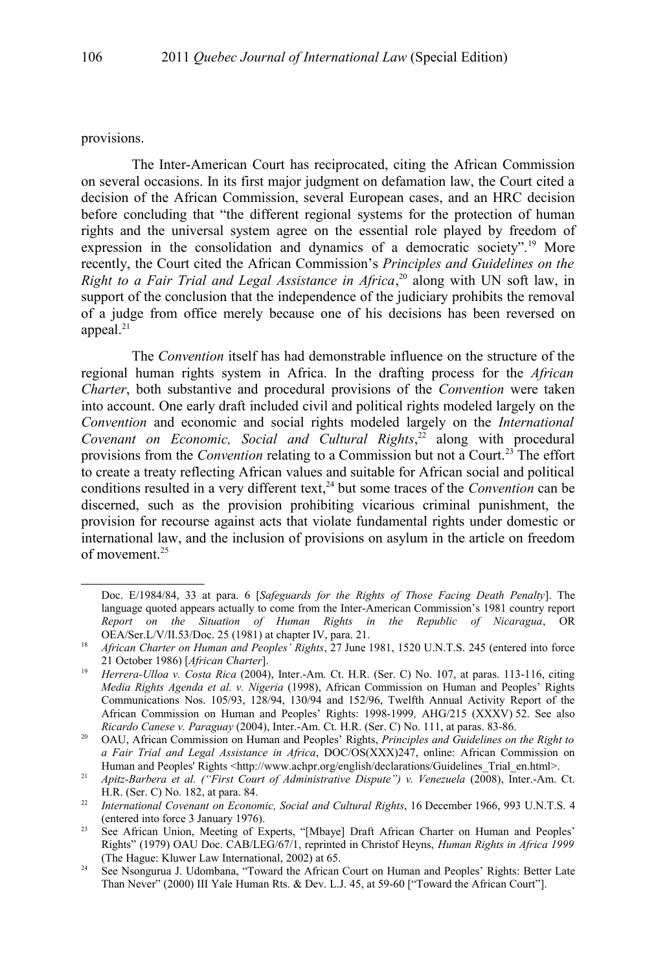provisions.

The Inter-American Court has reciprocated, citing the African Commission on several occasions. In its first major judgment on defamation law, the Court cited a decision of the African Commission, several European cases, and an HRC decision before concluding that "the different regional systems for the protection of human rights and the universal system agree on the essential role played by freedom of expression in the consolidation and dynamics of a democratic society".[19](#page-7-1) More recently, the Court cited the African Commission's *Principles and Guidelines on the* Right to a Fair Trial and Legal Assistance in Africa,<sup>[20](#page-7-2)</sup> along with UN soft law, in support of the conclusion that the independence of the judiciary prohibits the removal of a judge from office merely because one of his decisions has been reversed on appeal. $21$ 

The *Convention* itself has had demonstrable influence on the structure of the regional human rights system in Africa. In the drafting process for the *African Charter*, both substantive and procedural provisions of the *Convention* were taken into account. One early draft included civil and political rights modeled largely on the *Convention* and economic and social rights modeled largely on the *International Covenant on Economic, Social and Cultural Rights*, [22](#page-7-4) along with procedural provisions from the *Convention* relating to a Commission but not a Court.<sup>[23](#page-7-5)</sup> The effort to create a treaty reflecting African values and suitable for African social and political conditions resulted in a very different text, [24](#page-7-6) but some traces of the *Convention* can be discerned, such as the provision prohibiting vicarious criminal punishment, the provision for recourse against acts that violate fundamental rights under domestic or international law, and the inclusion of provisions on asylum in the article on freedom of movement.<sup>[25](#page-8-0)</sup>

Doc. E/1984/84, 33 at para. 6 [*Safeguards for the Rights of Those Facing Death Penalty*]. The language quoted appears actually to come from the Inter-American Commission's 1981 country report *Report on the Situation of Human Rights in the Republic of Nicaragua*, OR OEA/Ser.L/V/II.53/Doc. 25 (1981) at chapter IV, para. 21.

<span id="page-7-0"></span><sup>&</sup>lt;sup>18</sup> *African Charter on Human and Peoples' Rights*, 27 June 1981, 1520 U.N.T.S. 245 (entered into force 21 October 1986) [*African Charter*].

<span id="page-7-1"></span><sup>19</sup> *Herrera-Ulloa v. Costa Rica* (2004), Inter.-Am. Ct. H.R. (Ser. C) No. 107, at paras. 113-116, citing *Media Rights Agenda et al. v. Nigeria* (1998), African Commission on Human and Peoples' Rights Communications Nos. 105/93, 128/94, 130/94 and 152/96, Twelfth Annual Activity Report of the African Commission on Human and Peoples' Rights: 1998-1999*,* AHG/215 (XXXV) 52. See also *Ricardo Canese v. Paraguay* (2004), Inter.-Am. Ct. H.R. (Ser. C) No. 111, at paras. 83-86.

<span id="page-7-2"></span><sup>20</sup> OAU, African Commission on Human and Peoples' Rights, *Principles and Guidelines on the Right to a Fair Trial and Legal Assistance in Africa*, DOC/OS(XXX)247, online: African Commission on Human and Peoples' Rights <http://www.achpr.org/english/declarations/Guidelines\_Trial\_en.html>.

<span id="page-7-3"></span><sup>&</sup>lt;sup>21</sup> *Apitz-Barbera et al. ("First Court of Administrative Dispute") v. Venezuela (2008), Inter.-Am. Ct.* H.R. (Ser. C) No. 182, at para. 84.

<span id="page-7-4"></span><sup>&</sup>lt;sup>22</sup> *International Covenant on Economic, Social and Cultural Rights*, 16 December 1966, 993 U.N.T.S. 4 (entered into force 3 January 1976).

<span id="page-7-5"></span><sup>&</sup>lt;sup>23</sup> See African Union, Meeting of Experts, "[Mbaye] Draft African Charter on Human and Peoples' Rights" (1979) OAU Doc. CAB/LEG/67/1, reprinted in Christof Heyns, *Human Rights in Africa 1999* (The Hague: Kluwer Law International, 2002) at 65.

<span id="page-7-6"></span><sup>&</sup>lt;sup>24</sup> See Nsongurua J. Udombana, "Toward the African Court on Human and Peoples' Rights: Better Late Than Never" (2000) III Yale Human Rts. & Dev. L.J. 45, at 59-60 ["Toward the African Court"].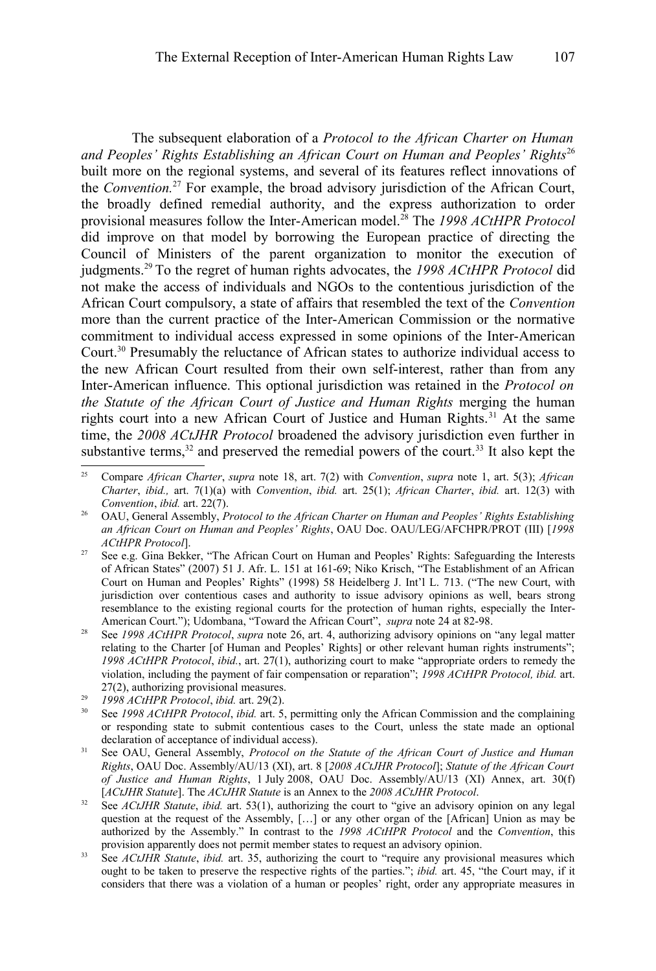The subsequent elaboration of a *Protocol to the African Charter on Human and Peoples' Rights Establishing an African Court on Human and Peoples' Rights*[26](#page-8-1) built more on the regional systems, and several of its features reflect innovations of the *Convention.*[27](#page-8-2) For example, the broad advisory jurisdiction of the African Court, the broadly defined remedial authority, and the express authorization to order provisional measures follow the Inter-American model.[28](#page-8-3) The *1998 ACtHPR Protocol* did improve on that model by borrowing the European practice of directing the Council of Ministers of the parent organization to monitor the execution of judgments.[29](#page-8-4) To the regret of human rights advocates, the *1998 ACtHPR Protocol* did not make the access of individuals and NGOs to the contentious jurisdiction of the African Court compulsory, a state of affairs that resembled the text of the *Convention* more than the current practice of the Inter-American Commission or the normative commitment to individual access expressed in some opinions of the Inter-American Court.[30](#page-8-5) Presumably the reluctance of African states to authorize individual access to the new African Court resulted from their own self-interest, rather than from any Inter-American influence. This optional jurisdiction was retained in the *Protocol on the Statute of the African Court of Justice and Human Rights* merging the human rights court into a new African Court of Justice and Human Rights.<sup>[31](#page-8-6)</sup> At the same time, the *2008 ACtJHR Protocol* broadened the advisory jurisdiction even further in substantive terms,  $32$  and preserved the remedial powers of the court.  $33$  It also kept the

- <span id="page-8-2"></span><sup>27</sup> See e.g. Gina Bekker, "The African Court on Human and Peoples' Rights: Safeguarding the Interests of African States" (2007) 51 J. Afr. L. 151 at 161-69; Niko Krisch, "The Establishment of an African Court on Human and Peoples' Rights" (1998) 58 Heidelberg J. Int'l L. 713. ("The new Court, with jurisdiction over contentious cases and authority to issue advisory opinions as well, bears strong resemblance to the existing regional courts for the protection of human rights, especially the Inter-American Court."); Udombana, "Toward the African Court", *supra* note [24](#page-7-6) at 82-98.
- <span id="page-8-3"></span><sup>28</sup> See *1998 ACtHPR Protocol*, *supra* note [26,](#page-8-1) art. 4, authorizing advisory opinions on "any legal matter relating to the Charter [of Human and Peoples' Rights] or other relevant human rights instruments"; *1998 ACtHPR Protocol*, *ibid.*, art. 27(1), authorizing court to make "appropriate orders to remedy the violation, including the payment of fair compensation or reparation"; *1998 ACtHPR Protocol, ibid.* art. 27(2), authorizing provisional measures.

<span id="page-8-0"></span><sup>25</sup> Compare *African Charter*, *supra* note [18,](#page-7-0) art. 7(2) with *Convention*, *supra* note [1,](#page-1-0) art. 5(3); *African Charter*, *ibid.,* art. 7(1)(a) with *Convention*, *ibid.* art. 25(1); *African Charter*, *ibid.* art. 12(3) with *Convention*, *ibid.* art. 22(7).

<span id="page-8-1"></span><sup>&</sup>lt;sup>26</sup> OAU, General Assembly, *Protocol to the African Charter on Human and Peoples' Rights Establishing an African Court on Human and Peoples' Rights*, OAU Doc. OAU/LEG/AFCHPR/PROT (III) [*1998 ACtHPR Protocol*].

<span id="page-8-4"></span><sup>29</sup> *1998 ACtHPR Protocol*, *ibid.* art. 29(2).

<span id="page-8-5"></span><sup>30</sup> See *1998 ACtHPR Protocol*, *ibid.* art. 5, permitting only the African Commission and the complaining or responding state to submit contentious cases to the Court, unless the state made an optional declaration of acceptance of individual access).

<span id="page-8-6"></span><sup>31</sup> See OAU, General Assembly, *Protocol on the Statute of the African Court of Justice and Human Rights*, OAU Doc. Assembly/AU/13 (XI), art. 8 [*2008 ACtJHR Protocol*]; *Statute of the African Court of Justice and Human Rights*, 1 July 2008, OAU Doc. Assembly/AU/13 (XI) Annex, art. 30(f) [*ACtJHR Statute*]. The *ACtJHR Statute* is an Annex to the *2008 ACtJHR Protocol*.

<span id="page-8-7"></span><sup>&</sup>lt;sup>32</sup> See *ACtJHR Statute*, *ibid.* art. 53(1), authorizing the court to "give an advisory opinion on any legal question at the request of the Assembly, […] or any other organ of the [African] Union as may be authorized by the Assembly." In contrast to the *1998 ACtHPR Protocol* and the *Convention*, this provision apparently does not permit member states to request an advisory opinion.

<span id="page-8-8"></span><sup>&</sup>lt;sup>33</sup> See *ACtJHR Statute*, *ibid.* art. 35, authorizing the court to "require any provisional measures which ought to be taken to preserve the respective rights of the parties."; *ibid.* art. 45, "the Court may, if it considers that there was a violation of a human or peoples' right, order any appropriate measures in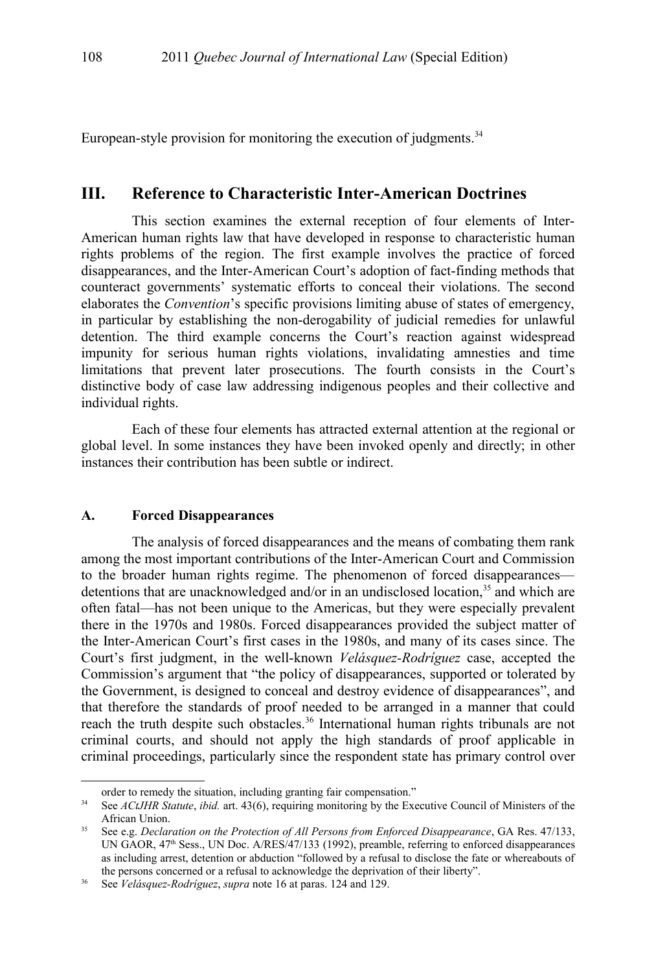European-style provision for monitoring the execution of judgments. $34$ 

## **III. Reference to Characteristic Inter-American Doctrines**

This section examines the external reception of four elements of Inter-American human rights law that have developed in response to characteristic human rights problems of the region. The first example involves the practice of forced disappearances, and the Inter-American Court's adoption of fact-finding methods that counteract governments' systematic efforts to conceal their violations. The second elaborates the *Convention*'s specific provisions limiting abuse of states of emergency, in particular by establishing the non-derogability of judicial remedies for unlawful detention. The third example concerns the Court's reaction against widespread impunity for serious human rights violations, invalidating amnesties and time limitations that prevent later prosecutions. The fourth consists in the Court's distinctive body of case law addressing indigenous peoples and their collective and individual rights.

Each of these four elements has attracted external attention at the regional or global level. In some instances they have been invoked openly and directly; in other instances their contribution has been subtle or indirect.

#### **A. Forced Disappearances**

The analysis of forced disappearances and the means of combating them rank among the most important contributions of the Inter-American Court and Commission to the broader human rights regime. The phenomenon of forced disappearances detentions that are unacknowledged and/or in an undisclosed location, $35$  and which are often fatal—has not been unique to the Americas, but they were especially prevalent there in the 1970s and 1980s. Forced disappearances provided the subject matter of the Inter-American Court's first cases in the 1980s, and many of its cases since. The Court's first judgment, in the well-known *Velásquez-Rodríguez* case, accepted the Commission's argument that "the policy of disappearances, supported or tolerated by the Government, is designed to conceal and destroy evidence of disappearances", and that therefore the standards of proof needed to be arranged in a manner that could reach the truth despite such obstacles.<sup>[36](#page-9-2)</sup> International human rights tribunals are not criminal courts, and should not apply the high standards of proof applicable in criminal proceedings, particularly since the respondent state has primary control over

order to remedy the situation, including granting fair compensation."

<span id="page-9-0"></span><sup>&</sup>lt;sup>34</sup> See *ACtJHR Statute*, *ibid.* art. 43(6), requiring monitoring by the Executive Council of Ministers of the African Union.

<span id="page-9-1"></span><sup>35</sup> See e.g. *Declaration on the Protection of All Persons from Enforced Disappearance*, GA Res. 47/133, UN GAOR, 47<sup>th</sup> Sess., UN Doc. A/RES/47/133 (1992), preamble, referring to enforced disappearances as including arrest, detention or abduction "followed by a refusal to disclose the fate or whereabouts of the persons concerned or a refusal to acknowledge the deprivation of their liberty".

<span id="page-9-2"></span><sup>36</sup> See *Velásquez-Rodríguez*, *supra* note [16](#page-5-2) at paras. 124 and 129.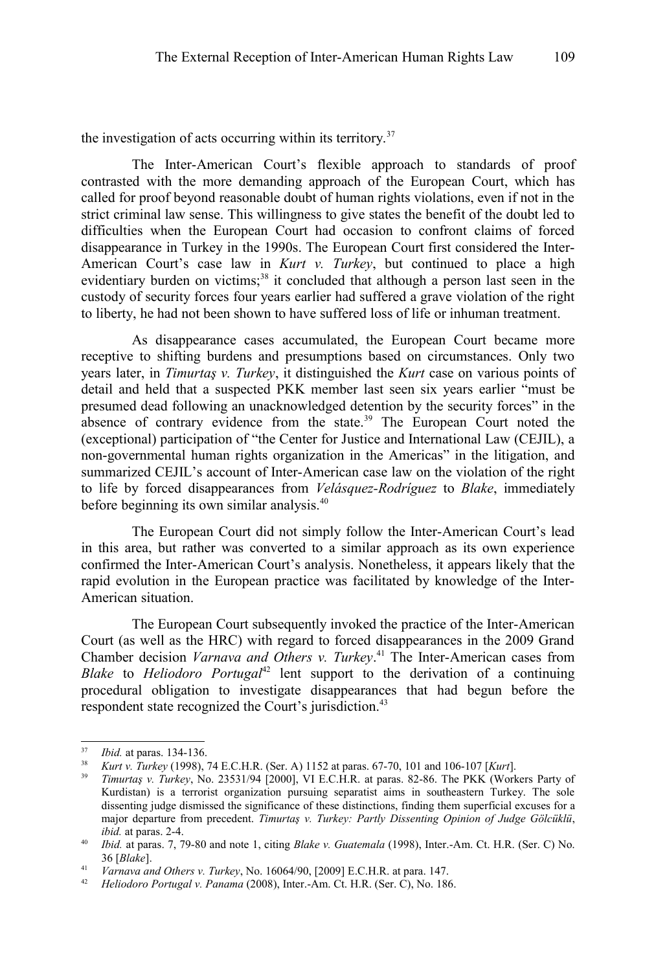the investigation of acts occurring within its territory.<sup>[37](#page-10-0)</sup>

The Inter-American Court's flexible approach to standards of proof contrasted with the more demanding approach of the European Court, which has called for proof beyond reasonable doubt of human rights violations, even if not in the strict criminal law sense. This willingness to give states the benefit of the doubt led to difficulties when the European Court had occasion to confront claims of forced disappearance in Turkey in the 1990s. The European Court first considered the Inter-American Court's case law in *Kurt v. Turkey*, but continued to place a high evidentiary burden on victims;<sup>[38](#page-10-1)</sup> it concluded that although a person last seen in the custody of security forces four years earlier had suffered a grave violation of the right to liberty, he had not been shown to have suffered loss of life or inhuman treatment.

As disappearance cases accumulated, the European Court became more receptive to shifting burdens and presumptions based on circumstances. Only two years later, in *Timurtaş v. Turkey*, it distinguished the *Kurt* case on various points of detail and held that a suspected PKK member last seen six years earlier "must be presumed dead following an unacknowledged detention by the security forces" in the absence of contrary evidence from the state. $39$  The European Court noted the (exceptional) participation of "the Center for Justice and International Law (CEJIL), a non-governmental human rights organization in the Americas" in the litigation, and summarized CEJIL's account of Inter-American case law on the violation of the right to life by forced disappearances from *Velásquez-Rodríguez* to *Blake*, immediately before beginning its own similar analysis.[40](#page-10-3)

The European Court did not simply follow the Inter-American Court's lead in this area, but rather was converted to a similar approach as its own experience confirmed the Inter-American Court's analysis. Nonetheless, it appears likely that the rapid evolution in the European practice was facilitated by knowledge of the Inter-American situation.

The European Court subsequently invoked the practice of the Inter-American Court (as well as the HRC) with regard to forced disappearances in the 2009 Grand Chamber decision *Varnava and Others v. Turkey*. [41](#page-10-4) The Inter-American cases from *Blake* to *Heliodoro Portugal*<sup>[42](#page-10-5)</sup> lent support to the derivation of a continuing procedural obligation to investigate disappearances that had begun before the respondent state recognized the Court's jurisdiction.<sup>[43](#page-11-0)</sup>

<span id="page-10-0"></span><sup>37</sup> *Ibid.* at paras. 134-136.

<span id="page-10-1"></span><sup>38</sup> *Kurt v. Turkey* (1998), 74 E.C.H.R. (Ser. A) 1152 at paras. 67-70, 101 and 106-107 [*Kurt*].

<span id="page-10-2"></span><sup>39</sup> *Timurtaş v. Turkey*, No. 23531/94 [2000], VI E.C.H.R. at paras. 82-86. The PKK (Workers Party of Kurdistan) is a terrorist organization pursuing separatist aims in southeastern Turkey. The sole dissenting judge dismissed the significance of these distinctions, finding them superficial excuses for a major departure from precedent. *Timurtaş v. Turkey: Partly Dissenting Opinion of Judge Gölcüklü*, *ibid.* at paras. 2-4.

<span id="page-10-3"></span><sup>40</sup> *Ibid.* at paras. 7, 79-80 and note [1,](#page-1-0) citing *Blake v. Guatemala* (1998), Inter.-Am. Ct. H.R. (Ser. C) No. 36 [*Blake*].

<span id="page-10-4"></span><sup>41</sup> *Varnava and Others v. Turkey*, No. 16064/90, [2009] E.C.H.R. at para. 147.

<span id="page-10-5"></span><sup>42</sup> *Heliodoro Portugal v. Panama* (2008), Inter.-Am. Ct. H.R. (Ser. C), No. 186.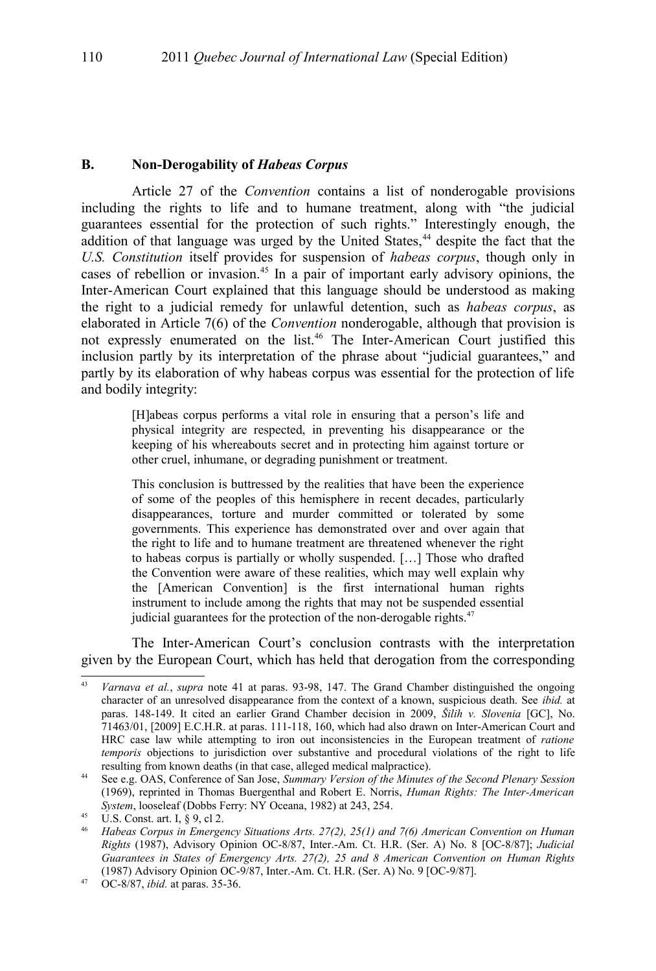### **B. Non-Derogability of** *Habeas Corpus*

Article 27 of the *Convention* contains a list of nonderogable provisions including the rights to life and to humane treatment, along with "the judicial guarantees essential for the protection of such rights." Interestingly enough, the addition of that language was urged by the United States, $44$  despite the fact that the *U.S. Constitution* itself provides for suspension of *habeas corpus*, though only in cases of rebellion or invasion.[45](#page-11-2) In a pair of important early advisory opinions, the Inter-American Court explained that this language should be understood as making the right to a judicial remedy for unlawful detention, such as *habeas corpus*, as elaborated in Article 7(6) of the *Convention* nonderogable, although that provision is not expressly enumerated on the list.[46](#page-11-3) The Inter-American Court justified this inclusion partly by its interpretation of the phrase about "judicial guarantees," and partly by its elaboration of why habeas corpus was essential for the protection of life and bodily integrity:

> [H]abeas corpus performs a vital role in ensuring that a person's life and physical integrity are respected, in preventing his disappearance or the keeping of his whereabouts secret and in protecting him against torture or other cruel, inhumane, or degrading punishment or treatment.

> This conclusion is buttressed by the realities that have been the experience of some of the peoples of this hemisphere in recent decades, particularly disappearances, torture and murder committed or tolerated by some governments. This experience has demonstrated over and over again that the right to life and to humane treatment are threatened whenever the right to habeas corpus is partially or wholly suspended. […] Those who drafted the Convention were aware of these realities, which may well explain why the [American Convention] is the first international human rights instrument to include among the rights that may not be suspended essential judicial guarantees for the protection of the non-derogable rights.<sup>[47](#page-11-4)</sup>

The Inter-American Court's conclusion contrasts with the interpretation given by the European Court, which has held that derogation from the corresponding

<span id="page-11-0"></span><sup>43</sup> *Varnava et al.*, *supra* note [41](#page-10-4) at paras. 93-98, 147. The Grand Chamber distinguished the ongoing character of an unresolved disappearance from the context of a known, suspicious death. See *ibid.* at paras. 148-149. It cited an earlier Grand Chamber decision in 2009, *Šilih v. Slovenia* [GC], No. 71463/01, [2009] E.C.H.R. at paras. 111-118, 160, which had also drawn on Inter-American Court and HRC case law while attempting to iron out inconsistencies in the European treatment of *ratione temporis* objections to jurisdiction over substantive and procedural violations of the right to life resulting from known deaths (in that case, alleged medical malpractice).

<span id="page-11-1"></span><sup>44</sup> See e.g. OAS, Conference of San Jose, *Summary Version of the Minutes of the Second Plenary Session* (1969), reprinted in Thomas Buergenthal and Robert E. Norris, *Human Rights: The Inter-American System*, looseleaf (Dobbs Ferry: NY Oceana, 1982) at 243, 254.

<span id="page-11-2"></span> $\frac{45}{10}$  U.S. Const. art. I,  $\frac{6}{5}$  9, cl 2.

<span id="page-11-3"></span><sup>46</sup> *Habeas Corpus in Emergency Situations Arts. 27(2), 25(1) and 7(6) American Convention on Human Rights* (1987), Advisory Opinion OC-8/87, Inter.-Am. Ct. H.R. (Ser. A) No. 8 [OC-8/87]; *Judicial Guarantees in States of Emergency Arts. 27(2), 25 and 8 American Convention on Human Rights* (1987) Advisory Opinion OC-9/87, Inter.-Am. Ct. H.R. (Ser. A) No. 9 [OC-9/87].

<span id="page-11-4"></span><sup>47</sup> OC-8/87, *ibid.* at paras. 35-36.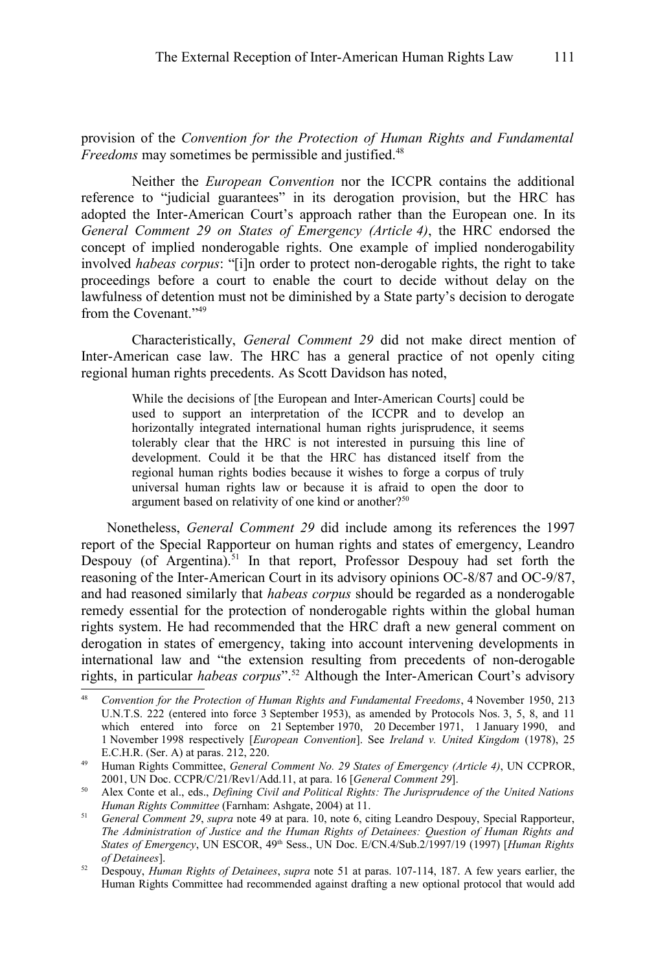provision of the *Convention for the Protection of Human Rights and Fundamental Freedoms* may sometimes be permissible and justified.<sup>[48](#page-12-2)</sup>

Neither the *European Convention* nor the ICCPR contains the additional reference to "judicial guarantees" in its derogation provision, but the HRC has adopted the Inter-American Court's approach rather than the European one. In its *General Comment 29 on States of Emergency (Article 4)*, the HRC endorsed the concept of implied nonderogable rights. One example of implied nonderogability involved *habeas corpus*: "[i]n order to protect non-derogable rights, the right to take proceedings before a court to enable the court to decide without delay on the lawfulness of detention must not be diminished by a State party's decision to derogate from the Covenant."[49](#page-12-1)

Characteristically, *General Comment 29* did not make direct mention of Inter-American case law. The HRC has a general practice of not openly citing regional human rights precedents. As Scott Davidson has noted,

> While the decisions of [the European and Inter-American Courts] could be used to support an interpretation of the ICCPR and to develop an horizontally integrated international human rights jurisprudence, it seems tolerably clear that the HRC is not interested in pursuing this line of development. Could it be that the HRC has distanced itself from the regional human rights bodies because it wishes to forge a corpus of truly universal human rights law or because it is afraid to open the door to argument based on relativity of one kind or another?<sup>[50](#page-12-3)</sup>

Nonetheless, *General Comment 29* did include among its references the 1997 report of the Special Rapporteur on human rights and states of emergency, Leandro Despouy (of Argentina).<sup>[51](#page-12-0)</sup> In that report, Professor Despouy had set forth the reasoning of the Inter-American Court in its advisory opinions OC-8/87 and OC-9/87, and had reasoned similarly that *habeas corpus* should be regarded as a nonderogable remedy essential for the protection of nonderogable rights within the global human rights system. He had recommended that the HRC draft a new general comment on derogation in states of emergency, taking into account intervening developments in international law and "the extension resulting from precedents of non-derogable rights, in particular *habeas corpus*".[52](#page-12-4) Although the Inter-American Court's advisory

<span id="page-12-2"></span><sup>48</sup> *Convention for the Protection of Human Rights and Fundamental Freedoms*, 4 November 1950, 213 U.N.T.S. 222 (entered into force 3 September 1953), as amended by Protocols Nos. 3, 5, 8, and 11 which entered into force on 21 September 1970, 20 December 1971, 1 January 1990, and 1 November 1998 respectively [*European Convention*]. See *Ireland v. United Kingdom* (1978), 25 E.C.H.R. (Ser. A) at paras. 212, 220.

<span id="page-12-1"></span><sup>49</sup> Human Rights Committee, *General Comment No. 29 States of Emergency (Article 4)*, UN CCPROR, 2001, UN Doc. CCPR/C/21/Rev1/Add.11, at para. 16 [*General Comment 29*].

<span id="page-12-3"></span><sup>50</sup> Alex Conte et al., eds., *Defining Civil and Political Rights: The Jurisprudence of the United Nations Human Rights Committee* (Farnham: Ashgate, 2004) at 11.

<span id="page-12-0"></span><sup>51</sup> *General Comment 29*, *supra* note [49](#page-12-1) at para. 10, note 6, citing Leandro Despouy, Special Rapporteur, *The Administration of Justice and the Human Rights of Detainees: Question of Human Rights and States of Emergency*, UN ESCOR, 49th Sess., UN Doc. E/CN.4/Sub.2/1997/19 (1997) [*Human Rights of Detainees*].

<span id="page-12-4"></span><sup>52</sup> Despouy, *Human Rights of Detainees*, *supra* note [51](#page-12-0) at paras. 107-114, 187. A few years earlier, the Human Rights Committee had recommended against drafting a new optional protocol that would add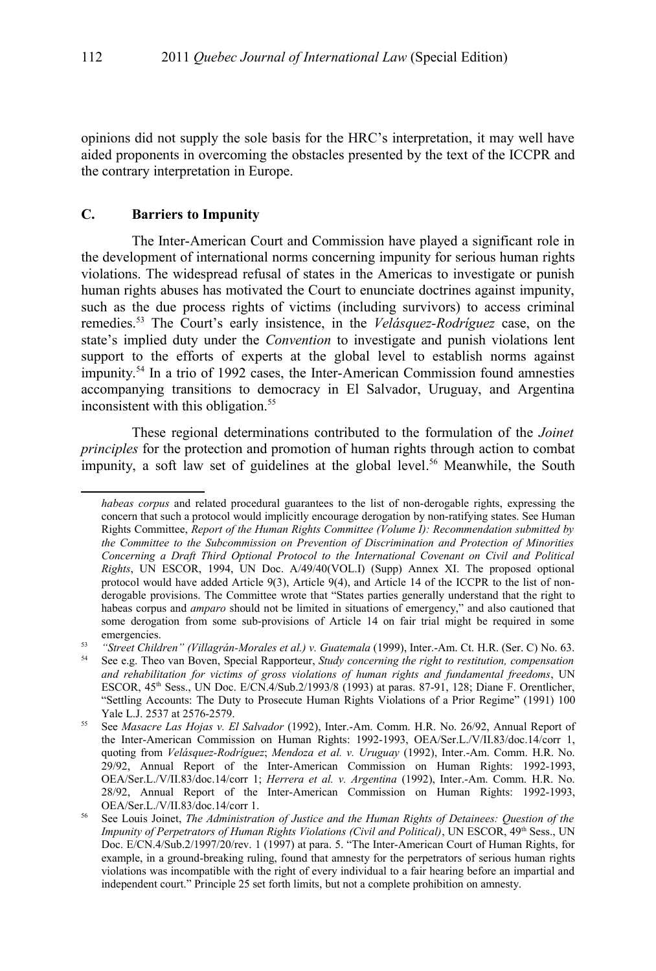opinions did not supply the sole basis for the HRC's interpretation, it may well have aided proponents in overcoming the obstacles presented by the text of the ICCPR and the contrary interpretation in Europe.

## **C. Barriers to Impunity**

The Inter-American Court and Commission have played a significant role in the development of international norms concerning impunity for serious human rights violations. The widespread refusal of states in the Americas to investigate or punish human rights abuses has motivated the Court to enunciate doctrines against impunity, such as the due process rights of victims (including survivors) to access criminal remedies.[53](#page-13-0) The Court's early insistence, in the *Velásquez-Rodríguez* case, on the state's implied duty under the *Convention* to investigate and punish violations lent support to the efforts of experts at the global level to establish norms against impunity.[54](#page-13-1) In a trio of 1992 cases, the Inter-American Commission found amnesties accompanying transitions to democracy in El Salvador, Uruguay, and Argentina inconsistent with this obligation.<sup>[55](#page-13-2)</sup>

These regional determinations contributed to the formulation of the *Joinet principles* for the protection and promotion of human rights through action to combat impunity, a soft law set of guidelines at the global level. [56](#page-13-3) Meanwhile, the South

*habeas corpus* and related procedural guarantees to the list of non-derogable rights, expressing the concern that such a protocol would implicitly encourage derogation by non-ratifying states. See Human Rights Committee, *Report of the Human Rights Committee (Volume I): Recommendation submitted by the Committee to the Subcommission on Prevention of Discrimination and Protection of Minorities Concerning a Draft Third Optional Protocol to the International Covenant on Civil and Political Rights*, UN ESCOR, 1994, UN Doc. A/49/40(VOL.I) (Supp) Annex XI. The proposed optional protocol would have added Article 9(3), Article 9(4), and Article 14 of the ICCPR to the list of nonderogable provisions. The Committee wrote that "States parties generally understand that the right to habeas corpus and *amparo* should not be limited in situations of emergency," and also cautioned that some derogation from some sub-provisions of Article 14 on fair trial might be required in some emergencies.

<span id="page-13-1"></span><span id="page-13-0"></span><sup>&</sup>lt;sup>53</sup> *"Street Children" (Villagrán-Morales et al.) v. Guatemala* (1999), Inter.-Am. Ct. H.R. (Ser. C) No. 63.<br><sup>54</sup> See e g. Theo van Boyen, Special Rapporteur, *Study concerning the right to restitution, compensation* <sup>54</sup> See e.g. Theo van Boven, Special Rapporteur, *Study concerning the right to restitution, compensation and rehabilitation for victims of gross violations of human rights and fundamental freedoms*, UN ESCOR, 45th Sess., UN Doc. E/CN.4/Sub.2/1993/8 (1993) at paras. 87-91, 128; Diane F. Orentlicher, "Settling Accounts: The Duty to Prosecute Human Rights Violations of a Prior Regime" (1991) 100 Yale L.J. 2537 at 2576-2579.

<span id="page-13-2"></span><sup>55</sup> See *Masacre Las Hojas v. El Salvador* (1992), Inter.-Am. Comm. H.R. No. 26/92, Annual Report of the Inter-American Commission on Human Rights: 1992-1993, OEA/Ser.L./V/II.83/doc.14/corr 1, quoting from *Velásquez-Rodríguez*; *Mendoza et al. v. Uruguay* (1992), Inter.-Am. Comm. H.R. No. 29/92, Annual Report of the Inter-American Commission on Human Rights: 1992-1993, OEA/Ser.L./V/II.83/doc.14/corr 1; *Herrera et al. v. Argentina* (1992), Inter.-Am. Comm. H.R. No. 28/92, Annual Report of the Inter-American Commission on Human Rights: 1992-1993, OEA/Ser.L./V/II.83/doc.14/corr 1.

<span id="page-13-3"></span><sup>56</sup> See Louis Joinet, *The Administration of Justice and the Human Rights of Detainees: Question of the Impunity of Perpetrators of Human Rights Violations (Civil and Political)*, UN ESCOR, 49<sup>th</sup> Sess., UN Doc. E/CN.4/Sub.2/1997/20/rev. 1 (1997) at para. 5. "The Inter-American Court of Human Rights, for example, in a ground-breaking ruling, found that amnesty for the perpetrators of serious human rights violations was incompatible with the right of every individual to a fair hearing before an impartial and independent court." Principle 25 set forth limits, but not a complete prohibition on amnesty.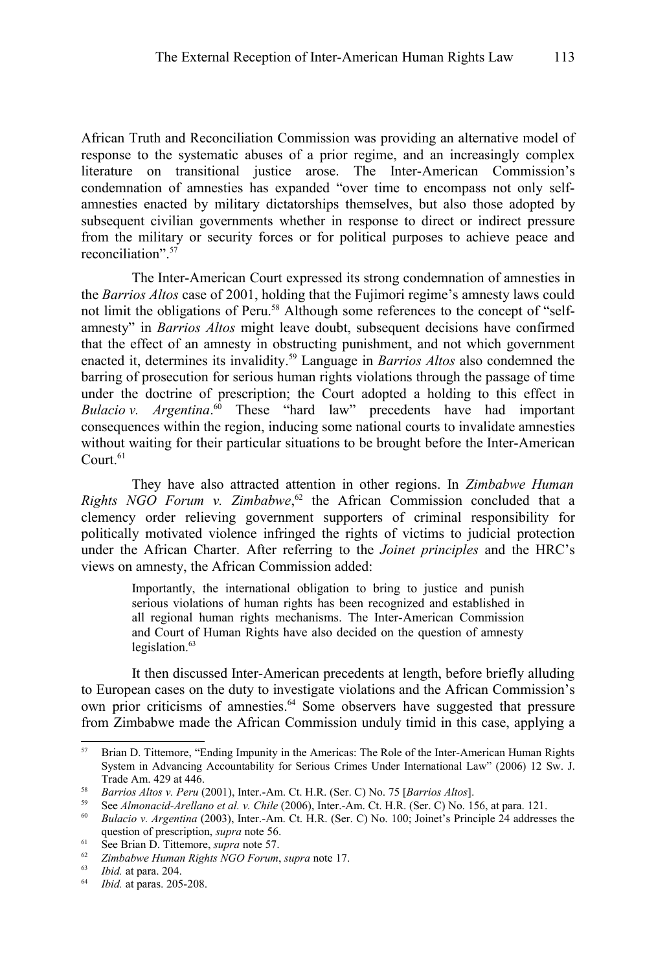African Truth and Reconciliation Commission was providing an alternative model of response to the systematic abuses of a prior regime, and an increasingly complex literature on transitional justice arose. The Inter-American Commission's condemnation of amnesties has expanded "over time to encompass not only selfamnesties enacted by military dictatorships themselves, but also those adopted by subsequent civilian governments whether in response to direct or indirect pressure from the military or security forces or for political purposes to achieve peace and reconciliation". [57](#page-14-0)

The Inter-American Court expressed its strong condemnation of amnesties in the *Barrios Altos* case of 2001, holding that the Fujimori regime's amnesty laws could not limit the obligations of Peru.<sup>[58](#page-14-1)</sup> Although some references to the concept of "selfamnesty" in *Barrios Altos* might leave doubt, subsequent decisions have confirmed that the effect of an amnesty in obstructing punishment, and not which government enacted it, determines its invalidity. [59](#page-14-2) Language in *Barrios Altos* also condemned the barring of prosecution for serious human rights violations through the passage of time under the doctrine of prescription; the Court adopted a holding to this effect in *Bulacio v. Argentina*. [60](#page-14-3) These "hard law" precedents have had important consequences within the region, inducing some national courts to invalidate amnesties without waiting for their particular situations to be brought before the Inter-American Court.<sup>[61](#page-14-4)</sup>

They have also attracted attention in other regions. In *Zimbabwe Human Rights NGO Forum v. Zimbabwe*,<sup>[62](#page-14-5)</sup> the African Commission concluded that a clemency order relieving government supporters of criminal responsibility for politically motivated violence infringed the rights of victims to judicial protection under the African Charter. After referring to the *Joinet principles* and the HRC's views on amnesty, the African Commission added:

> Importantly, the international obligation to bring to justice and punish serious violations of human rights has been recognized and established in all regional human rights mechanisms. The Inter-American Commission and Court of Human Rights have also decided on the question of amnesty legislation.<sup>[63](#page-14-6)</sup>

It then discussed Inter-American precedents at length, before briefly alluding to European cases on the duty to investigate violations and the African Commission's own prior criticisms of amnesties.[64](#page-14-7) Some observers have suggested that pressure from Zimbabwe made the African Commission unduly timid in this case, applying a

<span id="page-14-0"></span><sup>&</sup>lt;sup>57</sup> Brian D. Tittemore, "Ending Impunity in the Americas: The Role of the Inter-American Human Rights System in Advancing Accountability for Serious Crimes Under International Law" (2006) 12 Sw. J. Trade Am. 429 at 446.

<span id="page-14-1"></span><sup>58</sup> *Barrios Altos v. Peru* (2001), Inter.-Am. Ct. H.R. (Ser. C) No. 75 [*Barrios Altos*].

<span id="page-14-2"></span><sup>59</sup> See *Almonacid-Arellano et al. v. Chile* (2006), Inter.-Am. Ct. H.R. (Ser. C) No. 156, at para. 121.

<span id="page-14-3"></span><sup>60</sup> *Bulacio v. Argentina* (2003), Inter.-Am. Ct. H.R. (Ser. C) No. 100; Joinet's Principle 24 addresses the question of prescription, *supra* note [56.](#page-13-3)

<span id="page-14-4"></span><sup>61</sup> See Brian D. Tittemore, *supra* note [57.](#page-14-0)

<span id="page-14-5"></span><sup>62</sup> *Zimbabwe Human Rights NGO Forum*, *supra* note [17.](#page-6-0)

<span id="page-14-6"></span><sup>63</sup> *Ibid.* at para. 204.

<span id="page-14-7"></span><sup>64</sup> *Ibid.* at paras. 205-208.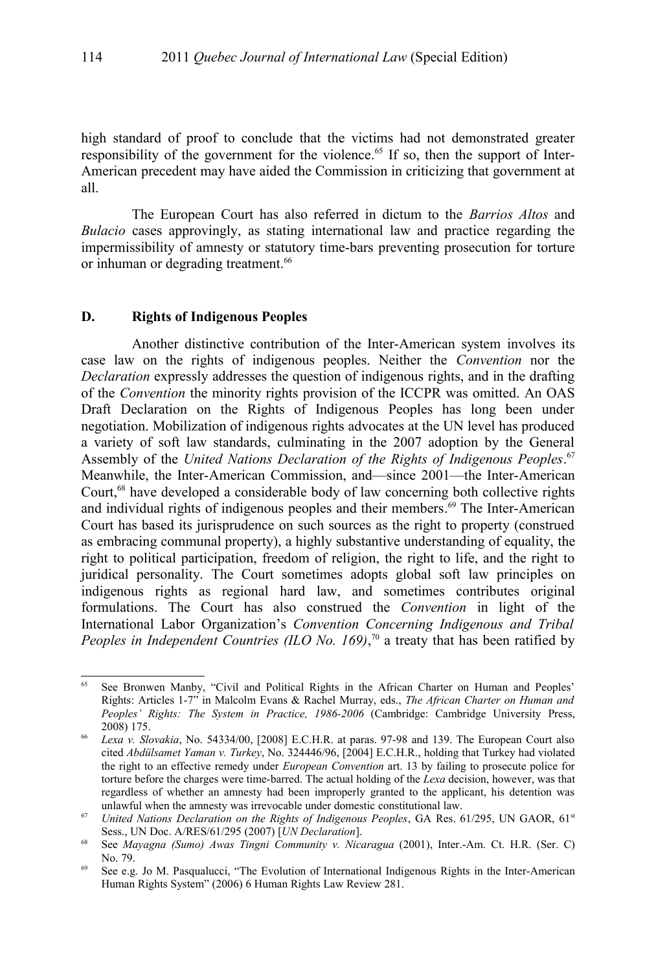high standard of proof to conclude that the victims had not demonstrated greater responsibility of the government for the violence.<sup>[65](#page-15-0)</sup> If so, then the support of Inter-American precedent may have aided the Commission in criticizing that government at all.

The European Court has also referred in dictum to the *Barrios Altos* and *Bulacio* cases approvingly, as stating international law and practice regarding the impermissibility of amnesty or statutory time-bars preventing prosecution for torture or inhuman or degrading treatment.<sup>[66](#page-15-1)</sup>

#### **D. Rights of Indigenous Peoples**

Another distinctive contribution of the Inter-American system involves its case law on the rights of indigenous peoples. Neither the *Convention* nor the *Declaration* expressly addresses the question of indigenous rights, and in the drafting of the *Convention* the minority rights provision of the ICCPR was omitted. An OAS Draft Declaration on the Rights of Indigenous Peoples has long been under negotiation. Mobilization of indigenous rights advocates at the UN level has produced a variety of soft law standards, culminating in the 2007 adoption by the General Assembly of the *United Nations Declaration of the Rights of Indigenous Peoples*. [67](#page-15-2) Meanwhile, the Inter-American Commission, and—since 2001—the Inter-American Court,<sup>[68](#page-15-3)</sup> have developed a considerable body of law concerning both collective rights and individual rights of indigenous peoples and their members. [69](#page-15-4) The Inter-American Court has based its jurisprudence on such sources as the right to property (construed as embracing communal property), a highly substantive understanding of equality, the right to political participation, freedom of religion, the right to life, and the right to juridical personality. The Court sometimes adopts global soft law principles on indigenous rights as regional hard law, and sometimes contributes original formulations. The Court has also construed the *Convention* in light of the International Labor Organization's *Convention Concerning Indigenous and Tribal Peoples in Independent Countries (ILO No. 169)*, [70](#page-16-0) a treaty that has been ratified by

<span id="page-15-0"></span><sup>&</sup>lt;sup>65</sup> See Bronwen Manby, "Civil and Political Rights in the African Charter on Human and Peoples' Rights: Articles 1-7" in Malcolm Evans & Rachel Murray, eds., *The African Charter on Human and Peoples' Rights: The System in Practice, 1986-2006* (Cambridge: Cambridge University Press, 2008) 175.

<span id="page-15-1"></span><sup>66</sup> *Lexa v. Slovakia*, No. 54334/00, [2008] E.C.H.R. at paras. 97-98 and 139. The European Court also cited *Abdülsamet Yaman v. Turkey*, No. 324446/96, [2004] E.C.H.R., holding that Turkey had violated the right to an effective remedy under *European Convention* art. 13 by failing to prosecute police for torture before the charges were time-barred. The actual holding of the *Lexa* decision, however, was that regardless of whether an amnesty had been improperly granted to the applicant, his detention was unlawful when the amnesty was irrevocable under domestic constitutional law.

<span id="page-15-2"></span><sup>&</sup>lt;sup>67</sup> *United Nations Declaration on the Rights of Indigenous Peoples, GA Res. 61/295, UN GAOR, 61<sup>st</sup>* Sess., UN Doc. A/RES/61/295 (2007) [*UN Declaration*].

<span id="page-15-3"></span><sup>68</sup> See *Mayagna (Sumo) Awas Tingni Community v. Nicaragua* (2001), Inter.-Am. Ct. H.R. (Ser. C) No. 79.

<span id="page-15-4"></span><sup>69</sup> See e.g. Jo M. Pasqualucci, "The Evolution of International Indigenous Rights in the Inter-American Human Rights System" (2006) 6 Human Rights Law Review 281.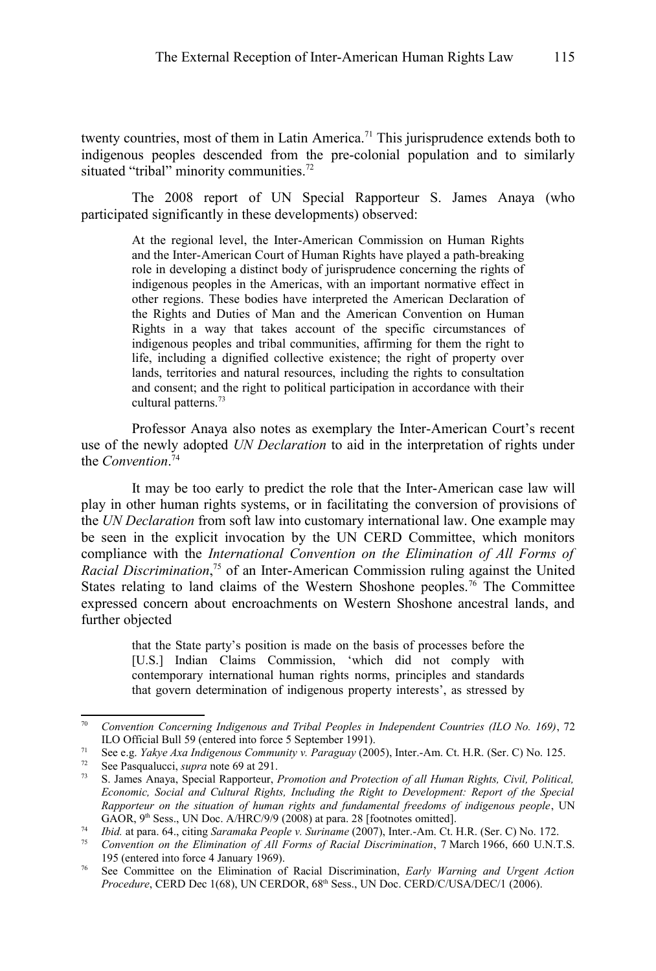twenty countries, most of them in Latin America.<sup>[71](#page-16-1)</sup> This jurisprudence extends both to indigenous peoples descended from the pre-colonial population and to similarly situated "tribal" minority communities.<sup>[72](#page-16-2)</sup>

The 2008 report of UN Special Rapporteur S. James Anaya (who participated significantly in these developments) observed:

> At the regional level, the Inter-American Commission on Human Rights and the Inter-American Court of Human Rights have played a path-breaking role in developing a distinct body of jurisprudence concerning the rights of indigenous peoples in the Americas, with an important normative effect in other regions. These bodies have interpreted the American Declaration of the Rights and Duties of Man and the American Convention on Human Rights in a way that takes account of the specific circumstances of indigenous peoples and tribal communities, affirming for them the right to life, including a dignified collective existence; the right of property over lands, territories and natural resources, including the rights to consultation and consent; and the right to political participation in accordance with their cultural patterns.<sup>[73](#page-16-3)</sup>

Professor Anaya also notes as exemplary the Inter-American Court's recent use of the newly adopted *UN Declaration* to aid in the interpretation of rights under the *Convention*. [74](#page-16-4)

It may be too early to predict the role that the Inter-American case law will play in other human rights systems, or in facilitating the conversion of provisions of the *UN Declaration* from soft law into customary international law. One example may be seen in the explicit invocation by the UN CERD Committee, which monitors compliance with the *International Convention on the Elimination of All Forms of Racial Discrimination*, [75](#page-16-5) of an Inter-American Commission ruling against the United States relating to land claims of the Western Shoshone peoples.<sup>[76](#page-16-6)</sup> The Committee expressed concern about encroachments on Western Shoshone ancestral lands, and further objected

> that the State party's position is made on the basis of processes before the [U.S.] Indian Claims Commission, 'which did not comply with contemporary international human rights norms, principles and standards that govern determination of indigenous property interests', as stressed by

<span id="page-16-0"></span><sup>70</sup> *Convention Concerning Indigenous and Tribal Peoples in Independent Countries (ILO No. 169)*, 72 ILO Official Bull 59 (entered into force 5 September 1991).

<span id="page-16-1"></span><sup>&</sup>lt;sup>71</sup> See e.g. *Yakye Axa Indigenous Community v. Paraguay* (2005), Inter.-Am. Ct. H.R. (Ser. C) No. 125.<br><sup>72</sup> See Pasqualucci *supra* note 69 at 291

<span id="page-16-2"></span>See Pasqualucci, *supra* note [69](#page-15-4) at 291.

<span id="page-16-3"></span><sup>73</sup> S. James Anaya, Special Rapporteur, *Promotion and Protection of all Human Rights, Civil, Political, Economic, Social and Cultural Rights, Including the Right to Development: Report of the Special Rapporteur on the situation of human rights and fundamental freedoms of indigenous people*, UN GAOR,  $9<sup>th</sup> Sess.$ , UN Doc. A/HRC/9/9 (2008) at para. 28 [footnotes omitted].

<span id="page-16-4"></span><sup>74</sup> *Ibid.* at para. 64., citing *Saramaka People v. Suriname* (2007), Inter.-Am. Ct. H.R. (Ser. C) No. 172.

<span id="page-16-5"></span><sup>75</sup> *Convention on the Elimination of All Forms of Racial Discrimination*, 7 March 1966, 660 U.N.T.S. 195 (entered into force 4 January 1969).

<span id="page-16-6"></span><sup>76</sup> See Committee on the Elimination of Racial Discrimination, *Early Warning and Urgent Action Procedure*, CERD Dec 1(68), UN CERDOR, 68th Sess., UN Doc. CERD/C/USA/DEC/1 (2006).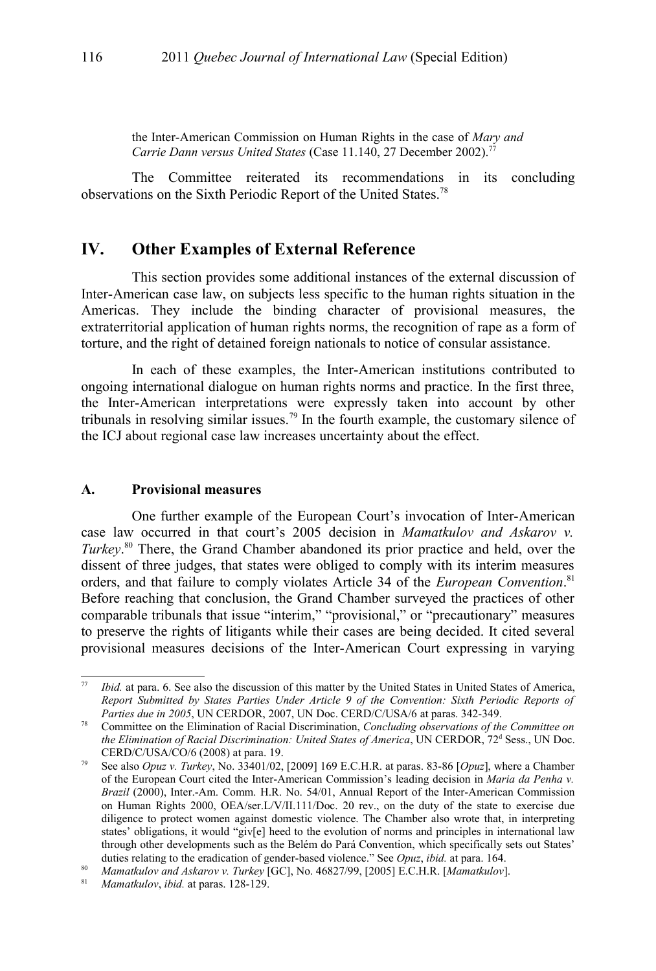the Inter-American Commission on Human Rights in the case of *Mary and Carrie Dann versus United States* (Case 11.140, 27 December 2002).[77](#page-17-0)

The Committee reiterated its recommendations in its concluding observations on the Sixth Periodic Report of the United States.[78](#page-17-1)

## **IV. Other Examples of External Reference**

This section provides some additional instances of the external discussion of Inter-American case law, on subjects less specific to the human rights situation in the Americas. They include the binding character of provisional measures, the extraterritorial application of human rights norms, the recognition of rape as a form of torture, and the right of detained foreign nationals to notice of consular assistance.

In each of these examples, the Inter-American institutions contributed to ongoing international dialogue on human rights norms and practice. In the first three, the Inter-American interpretations were expressly taken into account by other tribunals in resolving similar issues.<sup>[79](#page-17-2)</sup> In the fourth example, the customary silence of the ICJ about regional case law increases uncertainty about the effect.

#### **A. Provisional measures**

One further example of the European Court's invocation of Inter-American case law occurred in that court's 2005 decision in *Mamatkulov and Askarov v. Turkey*. [80](#page-17-3) There, the Grand Chamber abandoned its prior practice and held, over the dissent of three judges, that states were obliged to comply with its interim measures orders, and that failure to comply violates Article 34 of the *European Convention*. [81](#page-17-4) Before reaching that conclusion, the Grand Chamber surveyed the practices of other comparable tribunals that issue "interim," "provisional," or "precautionary" measures to preserve the rights of litigants while their cases are being decided. It cited several provisional measures decisions of the Inter-American Court expressing in varying

<span id="page-17-0"></span><sup>77</sup> *Ibid.* at para. 6. See also the discussion of this matter by the United States in United States of America, *Report Submitted by States Parties Under Article 9 of the Convention: Sixth Periodic Reports of Parties due in 2005*, UN CERDOR, 2007, UN Doc. CERD/C/USA/6 at paras. 342-349.

<span id="page-17-1"></span><sup>78</sup> Committee on the Elimination of Racial Discrimination, *Concluding observations of the Committee on* the Elimination of Racial Discrimination: United States of America, UN CERDOR, 72<sup>d</sup> Sess., UN Doc. CERD/C/USA/CO/6 (2008) at para. 19.

<span id="page-17-2"></span><sup>79</sup> See also *Opuz v. Turkey*, No. 33401/02, [2009] 169 E.C.H.R. at paras. 83-86 [*Opuz*], where a Chamber of the European Court cited the Inter-American Commission's leading decision in *Maria da Penha v. Brazil* (2000), Inter.-Am. Comm. H.R. No. 54/01, Annual Report of the Inter-American Commission on Human Rights 2000, OEA/ser.L/V/II.111/Doc. 20 rev., on the duty of the state to exercise due diligence to protect women against domestic violence. The Chamber also wrote that, in interpreting states' obligations, it would "giv[e] heed to the evolution of norms and principles in international law through other developments such as the Belém do Pará Convention, which specifically sets out States' duties relating to the eradication of gender-based violence." See *Opuz*, *ibid.* at para. 164.

<span id="page-17-3"></span><sup>80</sup> *Mamatkulov and Askarov v. Turkey* [GC], No. 46827/99, [2005] E.C.H.R. [*Mamatkulov*].

<span id="page-17-4"></span><sup>81</sup> *Mamatkulov*, *ibid.* at paras. 128-129.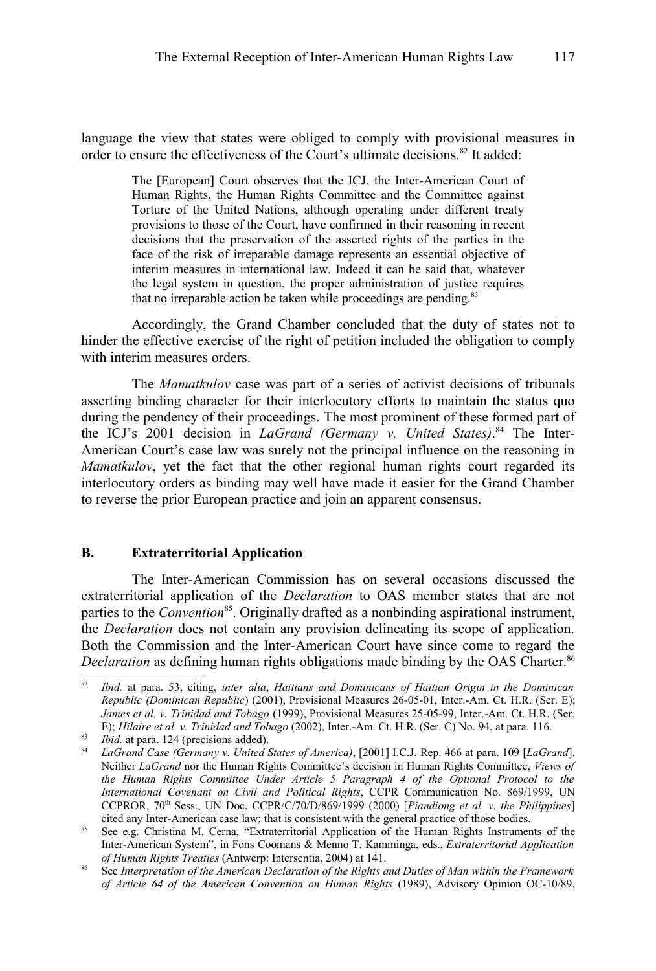language the view that states were obliged to comply with provisional measures in order to ensure the effectiveness of the Court's ultimate decisions.<sup>[82](#page-18-0)</sup> It added:

> The [European] Court observes that the ICJ, the Inter-American Court of Human Rights, the Human Rights Committee and the Committee against Torture of the United Nations, although operating under different treaty provisions to those of the Court, have confirmed in their reasoning in recent decisions that the preservation of the asserted rights of the parties in the face of the risk of irreparable damage represents an essential objective of interim measures in international law. Indeed it can be said that, whatever the legal system in question, the proper administration of justice requires that no irreparable action be taken while proceedings are pending.<sup>[83](#page-18-1)</sup>

Accordingly, the Grand Chamber concluded that the duty of states not to hinder the effective exercise of the right of petition included the obligation to comply with interim measures orders.

The *Mamatkulov* case was part of a series of activist decisions of tribunals asserting binding character for their interlocutory efforts to maintain the status quo during the pendency of their proceedings. The most prominent of these formed part of the ICJ's 2001 decision in *LaGrand (Germany v. United States)*. [84](#page-18-2) The Inter-American Court's case law was surely not the principal influence on the reasoning in *Mamatkulov*, yet the fact that the other regional human rights court regarded its interlocutory orders as binding may well have made it easier for the Grand Chamber to reverse the prior European practice and join an apparent consensus.

#### **B. Extraterritorial Application**

The Inter-American Commission has on several occasions discussed the extraterritorial application of the *Declaration* to OAS member states that are not parties to the *Convention*<sup>[85](#page-18-3)</sup>. Originally drafted as a nonbinding aspirational instrument, the *Declaration* does not contain any provision delineating its scope of application. Both the Commission and the Inter-American Court have since come to regard the *Declaration* as defining human rights obligations made binding by the OAS Charter.<sup>[86](#page-18-4)</sup>

<span id="page-18-0"></span><sup>82</sup> *Ibid.* at para. 53, citing, *inter alia*, *Haitians and Dominicans of Haitian Origin in the Dominican Republic (Dominican Republic*) (2001), Provisional Measures 26-05-01, Inter.-Am. Ct. H.R. (Ser. E); *James et al. v. Trinidad and Tobago* (1999), Provisional Measures 25-05-99, Inter.-Am. Ct. H.R. (Ser. E); *Hilaire et al. v. Trinidad and Tobago* (2002), Inter.-Am. Ct. H.R. (Ser. C) No. 94, at para. 116.

<span id="page-18-1"></span><sup>83</sup> *Ibid.* at para. 124 (precisions added).

<span id="page-18-2"></span><sup>84</sup> *LaGrand Case (Germany v. United States of America)*, [2001] I.C.J. Rep. 466 at para. 109 [*LaGrand*]. Neither *LaGrand* nor the Human Rights Committee's decision in Human Rights Committee, *Views of the Human Rights Committee Under Article 5 Paragraph 4 of the Optional Protocol to the International Covenant on Civil and Political Rights*, CCPR Communication No. 869/1999, UN CCPROR, 70th Sess., UN Doc. CCPR/C/70/D/869/1999 (2000) [*Piandiong et al. v. the Philippines*] cited any Inter-American case law; that is consistent with the general practice of those bodies.

<span id="page-18-3"></span><sup>&</sup>lt;sup>85</sup> See e.g. Christina M. Cerna, "Extraterritorial Application of the Human Rights Instruments of the Inter-American System", in Fons Coomans & Menno T. Kamminga, eds., *Extraterritorial Application of Human Rights Treaties* (Antwerp: Intersentia, 2004) at 141.

<span id="page-18-4"></span><sup>86</sup> *See Interpretation of the American Declaration of the Rights and Duties of Man within the Framework*<br>86 See *Interpretation of the American Declaration of the Rights and Duties of Man within the Framework of Article 64 of the American Convention on Human Rights* (1989), Advisory Opinion OC-10/89,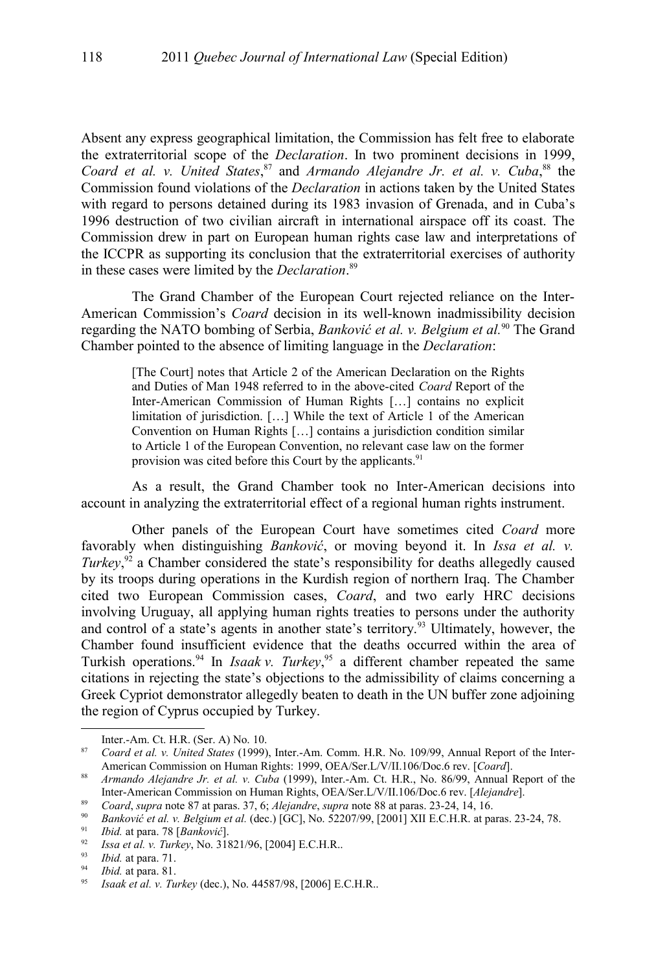Absent any express geographical limitation, the Commission has felt free to elaborate the extraterritorial scope of the *Declaration*. In two prominent decisions in 1999, *Coard et al. v. United States*, [87](#page-19-1) and *Armando Alejandre Jr. et al. v. Cuba*, [88](#page-19-0) the Commission found violations of the *Declaration* in actions taken by the United States with regard to persons detained during its 1983 invasion of Grenada, and in Cuba's 1996 destruction of two civilian aircraft in international airspace off its coast. The Commission drew in part on European human rights case law and interpretations of the ICCPR as supporting its conclusion that the extraterritorial exercises of authority in these cases were limited by the *Declaration*. [89](#page-19-2)

The Grand Chamber of the European Court rejected reliance on the Inter-American Commission's *Coard* decision in its well-known inadmissibility decision regarding the NATO bombing of Serbia, *Banković et al. v. Belgium et al.*[90](#page-19-3) The Grand Chamber pointed to the absence of limiting language in the *Declaration*:

> [The Court] notes that Article 2 of the American Declaration on the Rights and Duties of Man 1948 referred to in the above-cited *Coard* Report of the Inter-American Commission of Human Rights […] contains no explicit limitation of jurisdiction. […] While the text of Article 1 of the American Convention on Human Rights […] contains a jurisdiction condition similar to Article 1 of the European Convention, no relevant case law on the former provision was cited before this Court by the applicants.<sup>[91](#page-19-4)</sup>

As a result, the Grand Chamber took no Inter-American decisions into account in analyzing the extraterritorial effect of a regional human rights instrument.

Other panels of the European Court have sometimes cited *Coard* more favorably when distinguishing *Banković*, or moving beyond it. In *Issa et al. v. Turkey*,<sup>[92](#page-19-5)</sup> a Chamber considered the state's responsibility for deaths allegedly caused by its troops during operations in the Kurdish region of northern Iraq. The Chamber cited two European Commission cases, *Coard*, and two early HRC decisions involving Uruguay, all applying human rights treaties to persons under the authority and control of a state's agents in another state's territory.<sup>[93](#page-19-6)</sup> Ultimately, however, the Chamber found insufficient evidence that the deaths occurred within the area of Turkish operations.<sup>[94](#page-19-7)</sup> In *Isaak v. Turkey*,<sup>[95](#page-19-8)</sup> a different chamber repeated the same citations in rejecting the state's objections to the admissibility of claims concerning a Greek Cypriot demonstrator allegedly beaten to death in the UN buffer zone adjoining the region of Cyprus occupied by Turkey.

<span id="page-19-1"></span>Inter.-Am. Ct. H.R. (Ser. A) No. 10.

<sup>87</sup> *Coard et al. v. United States* (1999), Inter.-Am. Comm. H.R. No. 109/99, Annual Report of the Inter-American Commission on Human Rights: 1999, OEA/Ser.L/V/II.106/Doc.6 rev. [*Coard*].

<span id="page-19-0"></span><sup>88</sup> *Armando Alejandre Jr. et al. v. Cuba* (1999), Inter.-Am. Ct. H.R., No. 86/99, Annual Report of the Inter-American Commission on Human Rights, OEA/Ser.L/V/II.106/Doc.6 rev. [*Alejandre*].

<span id="page-19-2"></span><sup>89</sup> *Coard*, *supra* note [87](#page-19-1) at paras. 37, 6; *Alejandre*, *supra* note [88](#page-19-0) at paras. 23-24, 14, 16.

<span id="page-19-3"></span><sup>90</sup> *Banković et al. v. Belgium et al.* (dec.) [GC], No. 52207/99, [2001] XII E.C.H.R. at paras. 23-24, 78.

<span id="page-19-4"></span><sup>91</sup> *Ibid.* at para. 78 [*Banković*].

<span id="page-19-5"></span><sup>92</sup> *Issa et al. v. Turkey*, No. 31821/96, [2004] E.C.H.R..

<span id="page-19-6"></span><sup>93</sup> *Ibid.* at para. 71.

<span id="page-19-7"></span><sup>94</sup> *Ibid.* at para. 81.

<span id="page-19-8"></span><sup>95</sup> *Isaak et al. v. Turkey* (dec.), No. 44587/98, [2006] E.C.H.R..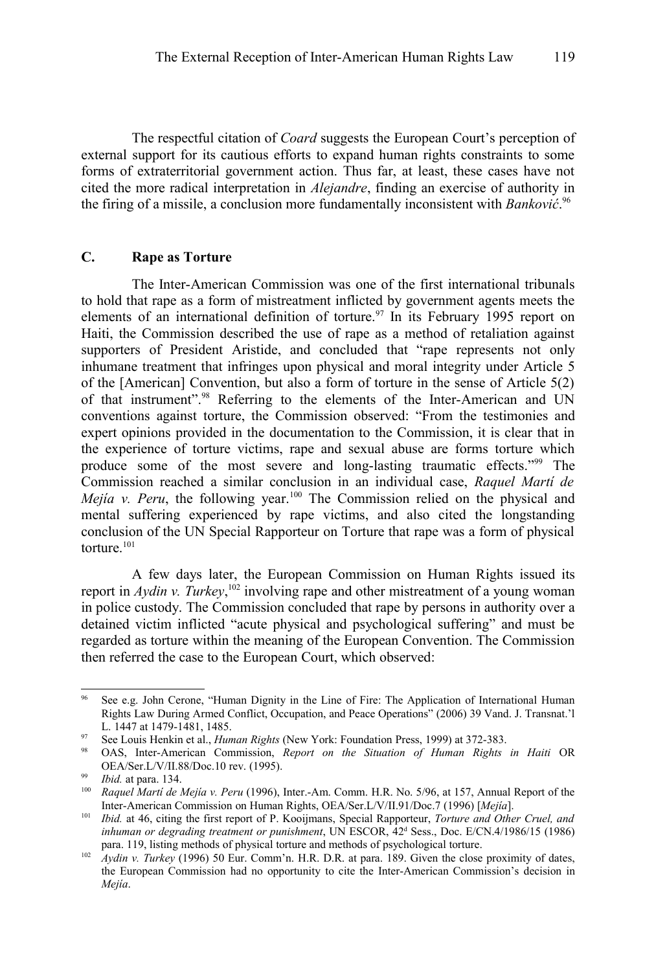The respectful citation of *Coard* suggests the European Court's perception of external support for its cautious efforts to expand human rights constraints to some forms of extraterritorial government action. Thus far, at least, these cases have not cited the more radical interpretation in *Alejandre*, finding an exercise of authority in the firing of a missile, a conclusion more fundamentally inconsistent with *Banković*. [96](#page-20-0)

### **C. Rape as Torture**

The Inter-American Commission was one of the first international tribunals to hold that rape as a form of mistreatment inflicted by government agents meets the elements of an international definition of torture.<sup>[97](#page-20-1)</sup> In its February 1995 report on Haiti, the Commission described the use of rape as a method of retaliation against supporters of President Aristide, and concluded that "rape represents not only inhumane treatment that infringes upon physical and moral integrity under Article 5 of the [American] Convention, but also a form of torture in the sense of Article 5(2) of that instrument".[98](#page-20-2) Referring to the elements of the Inter-American and UN conventions against torture, the Commission observed: "From the testimonies and expert opinions provided in the documentation to the Commission, it is clear that in the experience of torture victims, rape and sexual abuse are forms torture which produce some of the most severe and long-lasting traumatic effects."[99](#page-20-3) The Commission reached a similar conclusion in an individual case, *Raquel Martí de Mejía v. Peru*, the following year.<sup>[100](#page-20-4)</sup> The Commission relied on the physical and mental suffering experienced by rape victims, and also cited the longstanding conclusion of the UN Special Rapporteur on Torture that rape was a form of physical torture $101$ 

A few days later, the European Commission on Human Rights issued its report in *Aydin v. Turkey*,<sup>[102](#page-20-6)</sup> involving rape and other mistreatment of a young woman in police custody. The Commission concluded that rape by persons in authority over a detained victim inflicted "acute physical and psychological suffering" and must be regarded as torture within the meaning of the European Convention. The Commission then referred the case to the European Court, which observed:

<span id="page-20-0"></span>See e.g. John Cerone, "Human Dignity in the Line of Fire: The Application of International Human Rights Law During Armed Conflict, Occupation, and Peace Operations" (2006) 39 Vand. J. Transnat.'l L. 1447 at 1479-1481, 1485.

<span id="page-20-1"></span><sup>97</sup> See Louis Henkin et al., *Human Rights* (New York: Foundation Press, 1999) at 372-383.

<span id="page-20-2"></span><sup>98</sup> OAS, Inter-American Commission, *Report on the Situation of Human Rights in Haiti* OR OEA/Ser.L/V/II.88/Doc.10 rev. (1995).

<span id="page-20-3"></span><sup>99</sup> *Ibid.* at para. 134.

<span id="page-20-4"></span><sup>100</sup> *Raquel Martí de Mejía v. Peru* (1996), Inter.-Am. Comm. H.R. No. 5/96, at 157, Annual Report of the Inter-American Commission on Human Rights, OEA/Ser.L/V/II.91/Doc.7 (1996) [*Mejía*].

<span id="page-20-5"></span><sup>101</sup> *Ibid.* at 46, citing the first report of P. Kooijmans, Special Rapporteur, *Torture and Other Cruel, and* inhuman or degrading treatment or punishment, UN ESCOR, 42<sup>d</sup> Sess., Doc. E/CN.4/1986/15 (1986) para. 119, listing methods of physical torture and methods of psychological torture.

<span id="page-20-6"></span><sup>102</sup> *Aydin v. Turkey* (1996) 50 Eur. Comm'n. H.R. D.R. at para. 189. Given the close proximity of dates, the European Commission had no opportunity to cite the Inter-American Commission's decision in *Mejía*.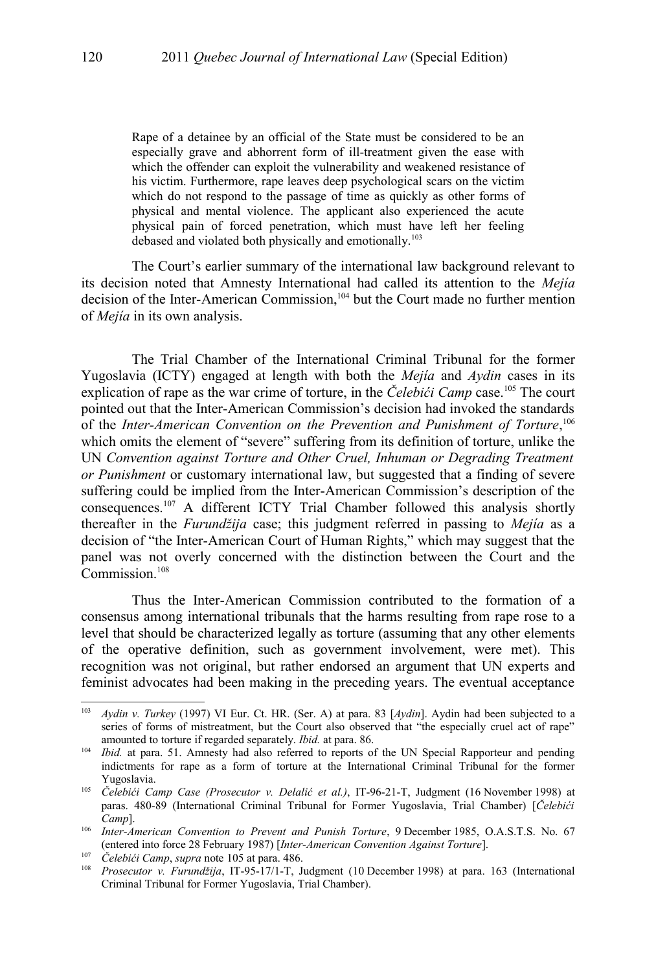Rape of a detainee by an official of the State must be considered to be an especially grave and abhorrent form of ill-treatment given the ease with which the offender can exploit the vulnerability and weakened resistance of his victim. Furthermore, rape leaves deep psychological scars on the victim which do not respond to the passage of time as quickly as other forms of physical and mental violence. The applicant also experienced the acute physical pain of forced penetration, which must have left her feeling debased and violated both physically and emotionally.<sup>[103](#page-21-1)</sup>

The Court's earlier summary of the international law background relevant to its decision noted that Amnesty International had called its attention to the *Mejía* decision of the Inter-American Commission,<sup>[104](#page-21-2)</sup> but the Court made no further mention of *Mejía* in its own analysis.

The Trial Chamber of the International Criminal Tribunal for the former Yugoslavia (ICTY) engaged at length with both the *Mejía* and *Aydin* cases in its explication of rape as the war crime of torture, in the *Čelebići Camp* case. [105](#page-21-0) The court pointed out that the Inter-American Commission's decision had invoked the standards of the *Inter-American Convention on the Prevention and Punishment of Torture*,<sup>[106](#page-21-3)</sup> which omits the element of "severe" suffering from its definition of torture, unlike the UN *Convention against Torture and Other Cruel, Inhuman or Degrading Treatment or Punishment* or customary international law, but suggested that a finding of severe suffering could be implied from the Inter-American Commission's description of the consequences.[107](#page-21-4) A different ICTY Trial Chamber followed this analysis shortly thereafter in the *Furundžija* case; this judgment referred in passing to *Mejía* as a decision of "the Inter-American Court of Human Rights," which may suggest that the panel was not overly concerned with the distinction between the Court and the Commission<sup>[108](#page-21-5)</sup>

Thus the Inter-American Commission contributed to the formation of a consensus among international tribunals that the harms resulting from rape rose to a level that should be characterized legally as torture (assuming that any other elements of the operative definition, such as government involvement, were met). This recognition was not original, but rather endorsed an argument that UN experts and feminist advocates had been making in the preceding years. The eventual acceptance

<span id="page-21-1"></span><sup>103</sup> *Aydin v. Turkey* (1997) VI Eur. Ct. HR. (Ser. A) at para. 83 [*Aydin*]. Aydin had been subjected to a series of forms of mistreatment, but the Court also observed that "the especially cruel act of rape" amounted to torture if regarded separately. *Ibid.* at para. 86.

<span id="page-21-2"></span><sup>&</sup>lt;sup>104</sup> *Ibid.* at para. 51. Amnesty had also referred to reports of the UN Special Rapporteur and pending indictments for rape as a form of torture at the International Criminal Tribunal for the former Yugoslavia.

<span id="page-21-0"></span><sup>105</sup> *Čelebići Camp Case (Prosecutor v. Delalić et al.)*, IT-96-21-T, Judgment (16 November 1998) at paras. 480-89 (International Criminal Tribunal for Former Yugoslavia, Trial Chamber) [*Čelebići Camp*].

<span id="page-21-3"></span><sup>&</sup>lt;sup>106</sup> *Inter-American Convention to Prevent and Punish Torture*, 9 December 1985, O.A.S.T.S. No. 67 (entered into force 28 February 1987) [*Inter-American Convention Against Torture*].

<span id="page-21-4"></span><sup>107</sup> *Čelebići Camp*, *supra* note [105](#page-21-0) at para. 486.

<span id="page-21-5"></span><sup>108</sup> *Prosecutor v. Furundžija*, IT-95-17/1-T, Judgment (10 December 1998) at para. 163 (International Criminal Tribunal for Former Yugoslavia, Trial Chamber).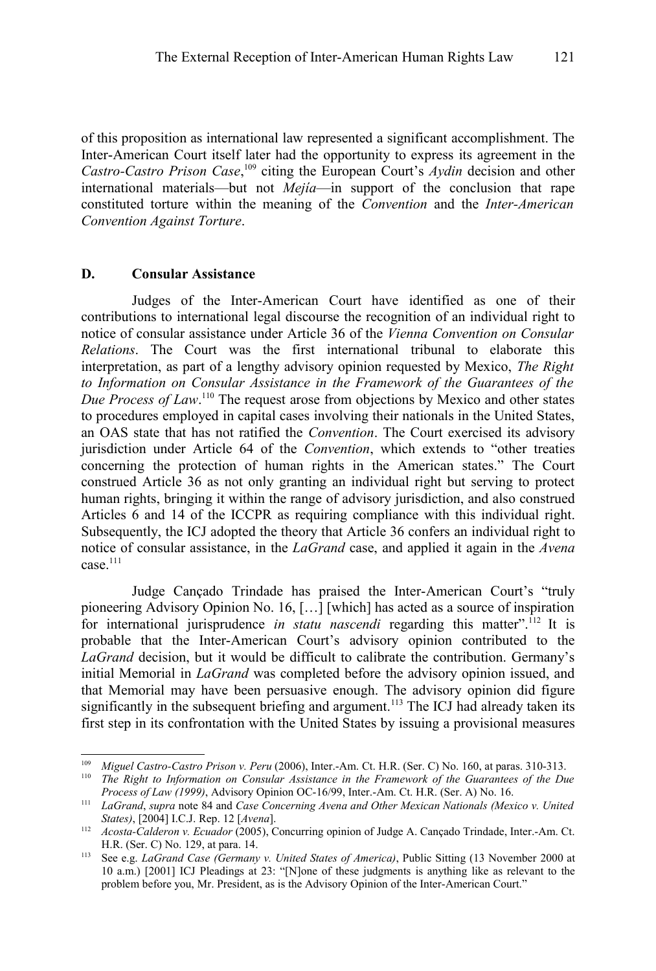of this proposition as international law represented a significant accomplishment. The Inter-American Court itself later had the opportunity to express its agreement in the Castro-Castro Prison Case,<sup>[109](#page-22-0)</sup> citing the European Court's *Aydin* decision and other international materials—but not *Mejía*—in support of the conclusion that rape constituted torture within the meaning of the *Convention* and the *Inter-American Convention Against Torture*.

### **D. Consular Assistance**

Judges of the Inter-American Court have identified as one of their contributions to international legal discourse the recognition of an individual right to notice of consular assistance under Article 36 of the *Vienna Convention on Consular Relations*. The Court was the first international tribunal to elaborate this interpretation, as part of a lengthy advisory opinion requested by Mexico, *The Right to Information on Consular Assistance in the Framework of the Guarantees of the Due Process of Law*. [110](#page-22-1) The request arose from objections by Mexico and other states to procedures employed in capital cases involving their nationals in the United States, an OAS state that has not ratified the *Convention*. The Court exercised its advisory jurisdiction under Article 64 of the *Convention*, which extends to "other treaties concerning the protection of human rights in the American states." The Court construed Article 36 as not only granting an individual right but serving to protect human rights, bringing it within the range of advisory jurisdiction, and also construed Articles 6 and 14 of the ICCPR as requiring compliance with this individual right. Subsequently, the ICJ adopted the theory that Article 36 confers an individual right to notice of consular assistance, in the *LaGrand* case, and applied it again in the *Avena* case.[111](#page-22-2)

Judge Cançado Trindade has praised the Inter-American Court's "truly pioneering Advisory Opinion No. 16, […] [which] has acted as a source of inspiration for international jurisprudence *in statu nascendi* regarding this matter".<sup>[112](#page-22-3)</sup> It is probable that the Inter-American Court's advisory opinion contributed to the *LaGrand* decision, but it would be difficult to calibrate the contribution. Germany's initial Memorial in *LaGrand* was completed before the advisory opinion issued, and that Memorial may have been persuasive enough. The advisory opinion did figure significantly in the subsequent briefing and argument.<sup>[113](#page-22-4)</sup> The ICJ had already taken its first step in its confrontation with the United States by issuing a provisional measures

<span id="page-22-0"></span><sup>109</sup> *Miguel Castro-Castro Prison v. Peru* (2006), Inter.-Am. Ct. H.R. (Ser. C) No. 160, at paras. 310-313.

<span id="page-22-1"></span><sup>110</sup> *The Right to Information on Consular Assistance in the Framework of the Guarantees of the Due Process of Law (1999)*, Advisory Opinion OC-16/99, Inter.-Am. Ct. H.R. (Ser. A) No. 16.

<span id="page-22-2"></span><sup>111</sup> *LaGrand*, *supra* note [84](#page-18-2) and *Case Concerning Avena and Other Mexican Nationals (Mexico v. United States)*, [2004] I.C.J. Rep. 12 [*Avena*].

<span id="page-22-3"></span><sup>112</sup> *Acosta-Calderon v. Ecuador* (2005), Concurring opinion of Judge A. Cançado Trindade, Inter.-Am. Ct. H.R. (Ser. C) No. 129, at para. 14.

<span id="page-22-4"></span><sup>113</sup> See e.g. *LaGrand Case (Germany v. United States of America)*, Public Sitting (13 November 2000 at 10 a.m.) [2001] ICJ Pleadings at 23: "[N]one of these judgments is anything like as relevant to the problem before you, Mr. President, as is the Advisory Opinion of the Inter-American Court."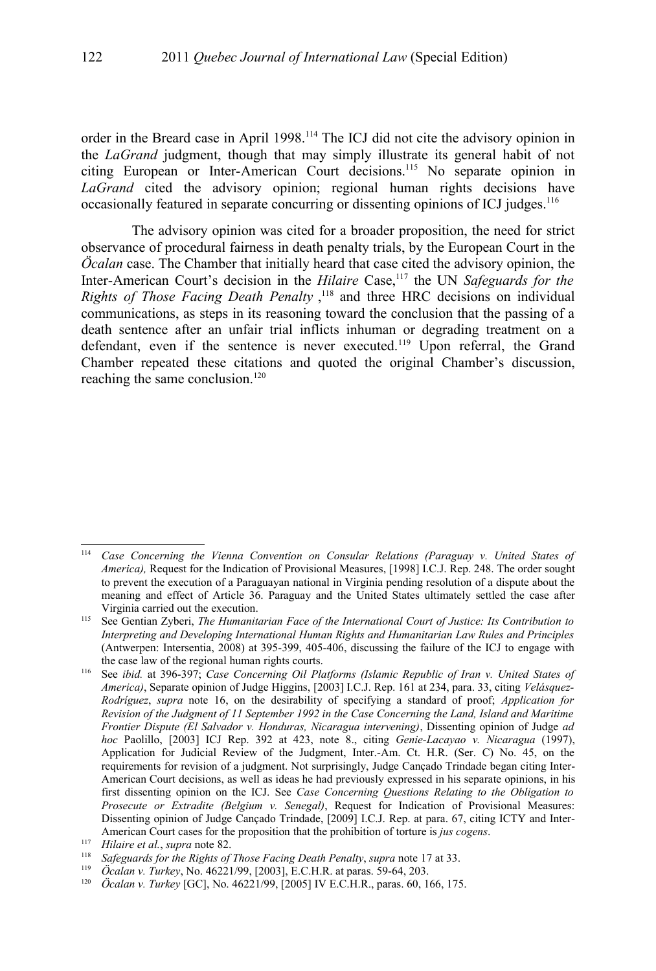order in the Breard case in April 1998.[114](#page-23-1) The ICJ did not cite the advisory opinion in the *LaGrand* judgment, though that may simply illustrate its general habit of not citing European or Inter-American Court decisions.[115](#page-23-2) No separate opinion in *LaGrand* cited the advisory opinion; regional human rights decisions have occasionally featured in separate concurring or dissenting opinions of ICJ judges.<sup>[116](#page-23-0)</sup>

The advisory opinion was cited for a broader proposition, the need for strict observance of procedural fairness in death penalty trials, by the European Court in the *Öcalan* case. The Chamber that initially heard that case cited the advisory opinion, the Inter-American Court's decision in the *Hilaire* Case,<sup>[117](#page-23-3)</sup> the UN *Safeguards for the Rights of Those Facing Death Penalty* , [118](#page-23-4) and three HRC decisions on individual communications, as steps in its reasoning toward the conclusion that the passing of a death sentence after an unfair trial inflicts inhuman or degrading treatment on a defendant, even if the sentence is never executed.<sup>[119](#page-23-5)</sup> Upon referral, the Grand Chamber repeated these citations and quoted the original Chamber's discussion, reaching the same conclusion.<sup>[120](#page-23-6)</sup>

<span id="page-23-1"></span><sup>114</sup> *Case Concerning the Vienna Convention on Consular Relations (Paraguay v. United States of America),* Request for the Indication of Provisional Measures, [1998] I.C.J. Rep. 248. The order sought to prevent the execution of a Paraguayan national in Virginia pending resolution of a dispute about the meaning and effect of Article 36. Paraguay and the United States ultimately settled the case after Virginia carried out the execution.

<span id="page-23-2"></span><sup>115</sup> See Gentian Zyberi, *The Humanitarian Face of the International Court of Justice: Its Contribution to Interpreting and Developing International Human Rights and Humanitarian Law Rules and Principles* (Antwerpen: Intersentia, 2008) at 395-399, 405-406, discussing the failure of the ICJ to engage with the case law of the regional human rights courts.

<span id="page-23-0"></span><sup>116</sup> See *ibid.* at 396-397; *Case Concerning Oil Platforms (Islamic Republic of Iran v. United States of America)*, Separate opinion of Judge Higgins, [2003] I.C.J. Rep. 161 at 234, para. 33, citing *Velásquez-Rodríguez*, *supra* note [16,](#page-5-2) on the desirability of specifying a standard of proof; *Application for Revision of the Judgment of 11 September 1992 in the Case Concerning the Land, Island and Maritime Frontier Dispute (El Salvador v. Honduras, Nicaragua intervening)*, Dissenting opinion of Judge *ad hoc* Paolillo, [2003] ICJ Rep. 392 at 423, note 8., citing *Genie-Lacayao v. Nicaragua* (1997), Application for Judicial Review of the Judgment, Inter.-Am. Ct. H.R. (Ser. C) No. 45, on the requirements for revision of a judgment. Not surprisingly, Judge Cançado Trindade began citing Inter-American Court decisions, as well as ideas he had previously expressed in his separate opinions, in his first dissenting opinion on the ICJ. See *Case Concerning Questions Relating to the Obligation to Prosecute or Extradite (Belgium v. Senegal)*, Request for Indication of Provisional Measures: Dissenting opinion of Judge Cançado Trindade, [2009] I.C.J. Rep. at para. 67, citing ICTY and Inter-American Court cases for the proposition that the prohibition of torture is *jus cogens*.

<span id="page-23-3"></span><sup>117</sup> *Hilaire et al.*, *supra* note [82.](#page-18-0)

<span id="page-23-4"></span><sup>118</sup> *Safeguards for the Rights of Those Facing Death Penalty*, *supra* note [17](#page-6-0) at 33.

<span id="page-23-5"></span><sup>119</sup> *Öcalan v. Turkey*, No. 46221/99, [2003], E.C.H.R. at paras. 59-64, 203.

<span id="page-23-6"></span><sup>120</sup> *Öcalan v. Turkey* [GC], No. 46221/99, [2005] IV E.C.H.R., paras. 60, 166, 175.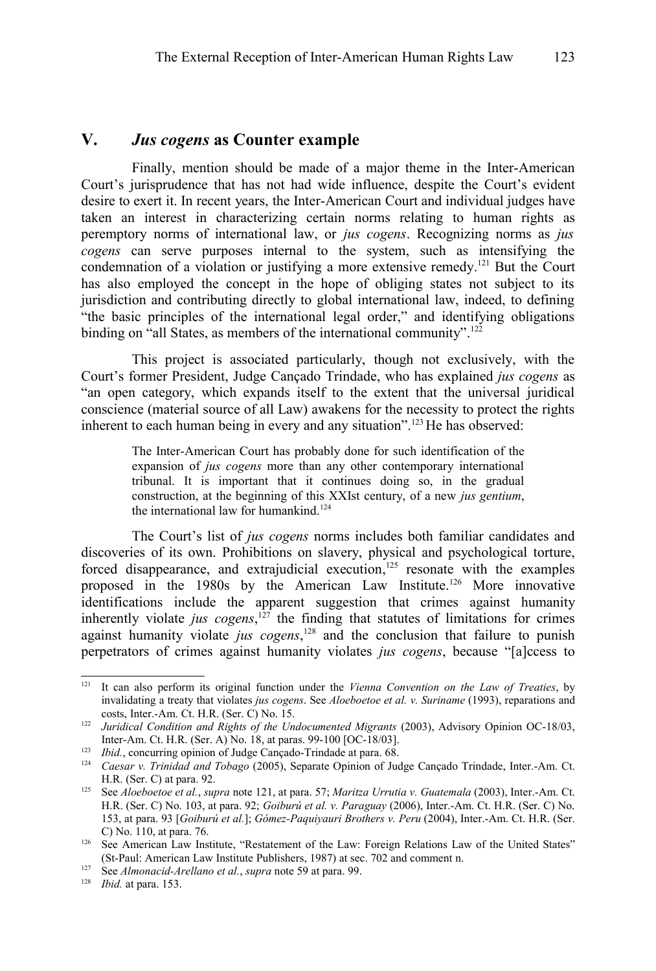## **V.** *Jus cogens* **as Counter example**

Finally, mention should be made of a major theme in the Inter-American Court's jurisprudence that has not had wide influence, despite the Court's evident desire to exert it. In recent years, the Inter-American Court and individual judges have taken an interest in characterizing certain norms relating to human rights as peremptory norms of international law, or *jus cogens*. Recognizing norms as *jus cogens* can serve purposes internal to the system, such as intensifying the condemnation of a violation or justifying a more extensive remedy. [121](#page-24-0) But the Court has also employed the concept in the hope of obliging states not subject to its jurisdiction and contributing directly to global international law, indeed, to defining "the basic principles of the international legal order," and identifying obligations binding on "all States, as members of the international community".<sup>[122](#page-24-1)</sup>

This project is associated particularly, though not exclusively, with the Court's former President, Judge Cançado Trindade, who has explained *jus cogens* as "an open category, which expands itself to the extent that the universal juridical conscience (material source of all Law) awakens for the necessity to protect the rights inherent to each human being in every and any situation".<sup>[123](#page-24-2)</sup> He has observed:

> The Inter-American Court has probably done for such identification of the expansion of *jus cogens* more than any other contemporary international tribunal. It is important that it continues doing so, in the gradual construction, at the beginning of this XXIst century, of a new *jus gentium*, the international law for humankind.<sup>[124](#page-24-3)</sup>

The Court's list of *jus cogens* norms includes both familiar candidates and discoveries of its own. Prohibitions on slavery, physical and psychological torture, forced disappearance, and extrajudicial execution,<sup>[125](#page-24-4)</sup> resonate with the examples proposed in the 1980s by the American Law Institute.[126](#page-24-5) More innovative identifications include the apparent suggestion that crimes against humanity inherently violate *jus cogens*, [127](#page-24-6) the finding that statutes of limitations for crimes against humanity violate *jus cogens*, [128](#page-24-7) and the conclusion that failure to punish perpetrators of crimes against humanity violates *jus cogens*, because "[a]ccess to

<span id="page-24-0"></span><sup>121</sup> It can also perform its original function under the *Vienna Convention on the Law of Treaties*, by invalidating a treaty that violates *jus cogens*. See *Aloeboetoe et al. v. Suriname* (1993), reparations and costs, Inter.-Am. Ct. H.R. (Ser. C) No. 15.

<span id="page-24-1"></span><sup>&</sup>lt;sup>122</sup> *Juridical Condition and Rights of the Undocumented Migrants (2003), Advisory Opinion OC-18/03,* Inter-Am. Ct. H.R. (Ser. A) No. 18, at paras. 99-100 [OC-18/03].

<span id="page-24-2"></span><sup>&</sup>lt;sup>123</sup> *Ibid.*, concurring opinion of Judge Cançado-Trindade at para. 68.

<span id="page-24-3"></span><sup>124</sup> *Caesar v. Trinidad and Tobago* (2005), Separate Opinion of Judge Cançado Trindade, Inter.-Am. Ct. H.R. (Ser. C) at para. 92.

<span id="page-24-4"></span><sup>125</sup> See *Aloeboetoe et al.*, *supra* note [121,](#page-24-0) at para. 57; *Maritza Urrutia v. Guatemala* (2003), Inter.-Am. Ct. H.R. (Ser. C) No. 103, at para. 92; *Goiburú et al. v. Paraguay* (2006), Inter.-Am. Ct. H.R. (Ser. C) No. 153, at para. 93 [*Goiburú et al.*]; *Gómez-Paquiyauri Brothers v. Peru* (2004), Inter.-Am. Ct. H.R. (Ser. C) No. 110, at para. 76.

<span id="page-24-5"></span><sup>&</sup>lt;sup>126</sup> See American Law Institute, "Restatement of the Law: Foreign Relations Law of the United States" (St-Paul: American Law Institute Publishers, 1987) at sec. 702 and comment n.

<span id="page-24-6"></span><sup>127</sup> See *Almonacid-Arellano et al.*, *supra* note [59](#page-14-2) at para. 99.

<span id="page-24-7"></span><sup>128</sup> *Ibid.* at para. 153.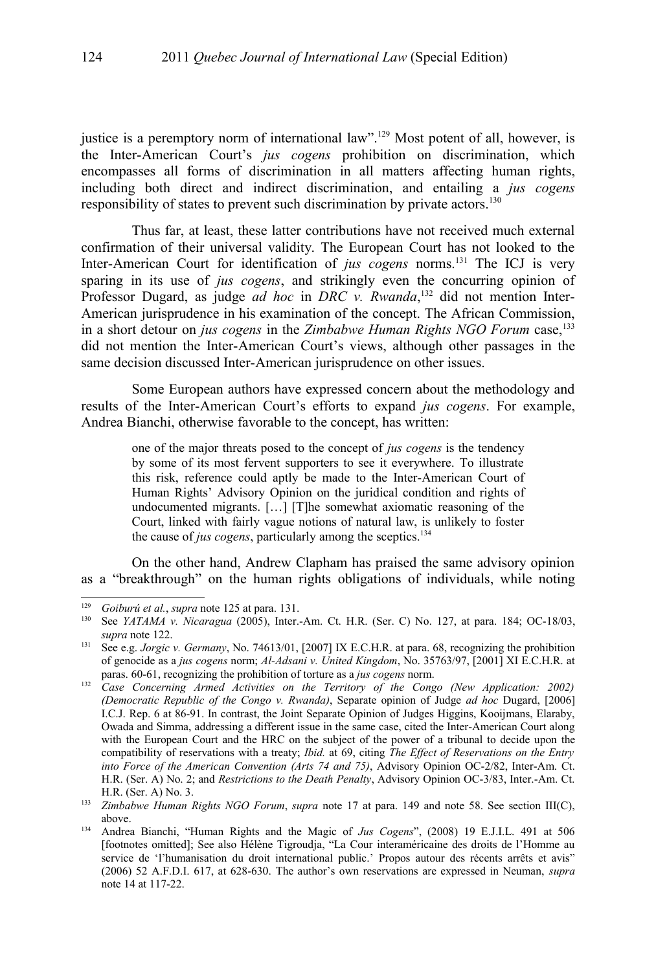justice is a peremptory norm of international law".<sup>[129](#page-25-1)</sup> Most potent of all, however, is the Inter-American Court's *jus cogens* prohibition on discrimination, which encompasses all forms of discrimination in all matters affecting human rights, including both direct and indirect discrimination, and entailing a *jus cogens* responsibility of states to prevent such discrimination by private actors.<sup>[130](#page-25-2)</sup>

Thus far, at least, these latter contributions have not received much external confirmation of their universal validity. The European Court has not looked to the Inter-American Court for identification of *jus cogens* norms.[131](#page-25-3) The ICJ is very sparing in its use of *jus cogens*, and strikingly even the concurring opinion of Professor Dugard, as judge *ad hoc* in *DRC v. Rwanda*,<sup>[132](#page-25-0)</sup> did not mention Inter-American jurisprudence in his examination of the concept. The African Commission, in a short detour on *jus cogens* in the *Zimbabwe Human Rights NGO Forum* case,<sup>[133](#page-25-4)</sup> did not mention the Inter-American Court's views, although other passages in the same decision discussed Inter-American jurisprudence on other issues.

Some European authors have expressed concern about the methodology and results of the Inter-American Court's efforts to expand *jus cogens*. For example, Andrea Bianchi, otherwise favorable to the concept, has written:

> one of the major threats posed to the concept of *jus cogens* is the tendency by some of its most fervent supporters to see it everywhere. To illustrate this risk, reference could aptly be made to the Inter-American Court of Human Rights' Advisory Opinion on the juridical condition and rights of undocumented migrants. […] [T]he somewhat axiomatic reasoning of the Court, linked with fairly vague notions of natural law, is unlikely to foster the cause of *jus cogens*, particularly among the sceptics.<sup>[134](#page-25-5)</sup>

On the other hand, Andrew Clapham has praised the same advisory opinion as a "breakthrough" on the human rights obligations of individuals, while noting

<span id="page-25-1"></span><sup>129</sup> *Goiburú et al.*, *supra* note [125](#page-24-4) at para. 131.

<span id="page-25-2"></span><sup>130</sup> See *YATAMA v. Nicaragua* (2005), Inter.-Am. Ct. H.R. (Ser. C) No. 127, at para. 184; OC-18/03, *supra* note [122.](#page-24-1)

<span id="page-25-3"></span><sup>131</sup> See e.g. *Jorgic v. Germany*, No. 74613/01, [2007] IX E.C.H.R. at para. 68, recognizing the prohibition of genocide as a *jus cogens* norm; *Al-Adsani v. United Kingdom*, No. 35763/97, [2001] XI E.C.H.R. at paras. 60-61, recognizing the prohibition of torture as a *jus cogens* norm.

<span id="page-25-0"></span><sup>132</sup> *Case Concerning Armed Activities on the Territory of the Congo (New Application: 2002) (Democratic Republic of the Congo v. Rwanda)*, Separate opinion of Judge *ad hoc* Dugard, [2006] I.C.J. Rep. 6 at 86-91. In contrast, the Joint Separate Opinion of Judges Higgins, Kooijmans, Elaraby, Owada and Simma, addressing a different issue in the same case, cited the Inter-American Court along with the European Court and the HRC on the subject of the power of a tribunal to decide upon the compatibility of reservations with a treaty; *Ibid.* at 69, citing *The Effect of Reservations on the Entry into Force of the American Convention (Arts 74 and 75)*, Advisory Opinion OC-2/82, Inter-Am. Ct. H.R. (Ser. A) No. 2; and *Restrictions to the Death Penalty*, Advisory Opinion OC-3/83, Inter.-Am. Ct. H.R. (Ser. A) No. 3.

<span id="page-25-4"></span><sup>133</sup> *Zimbabwe Human Rights NGO Forum*, *supra* note [17](#page-6-0) at para. 149 and note [58.](#page-14-1) See section III(C), above.

<span id="page-25-5"></span><sup>134</sup> Andrea Bianchi, "Human Rights and the Magic of *Jus Cogens*", (2008) 19 E.J.I.L. 491 at 506 [footnotes omitted]; See also Hélène Tigroudja, "La Cour interaméricaine des droits de l'Homme au service de 'l'humanisation du droit international public.' Propos autour des récents arrêts et avis" (2006) 52 A.F.D.I. 617, at 628-630. The author's own reservations are expressed in Neuman, *supra* note [14](#page-5-0) at 117-22.